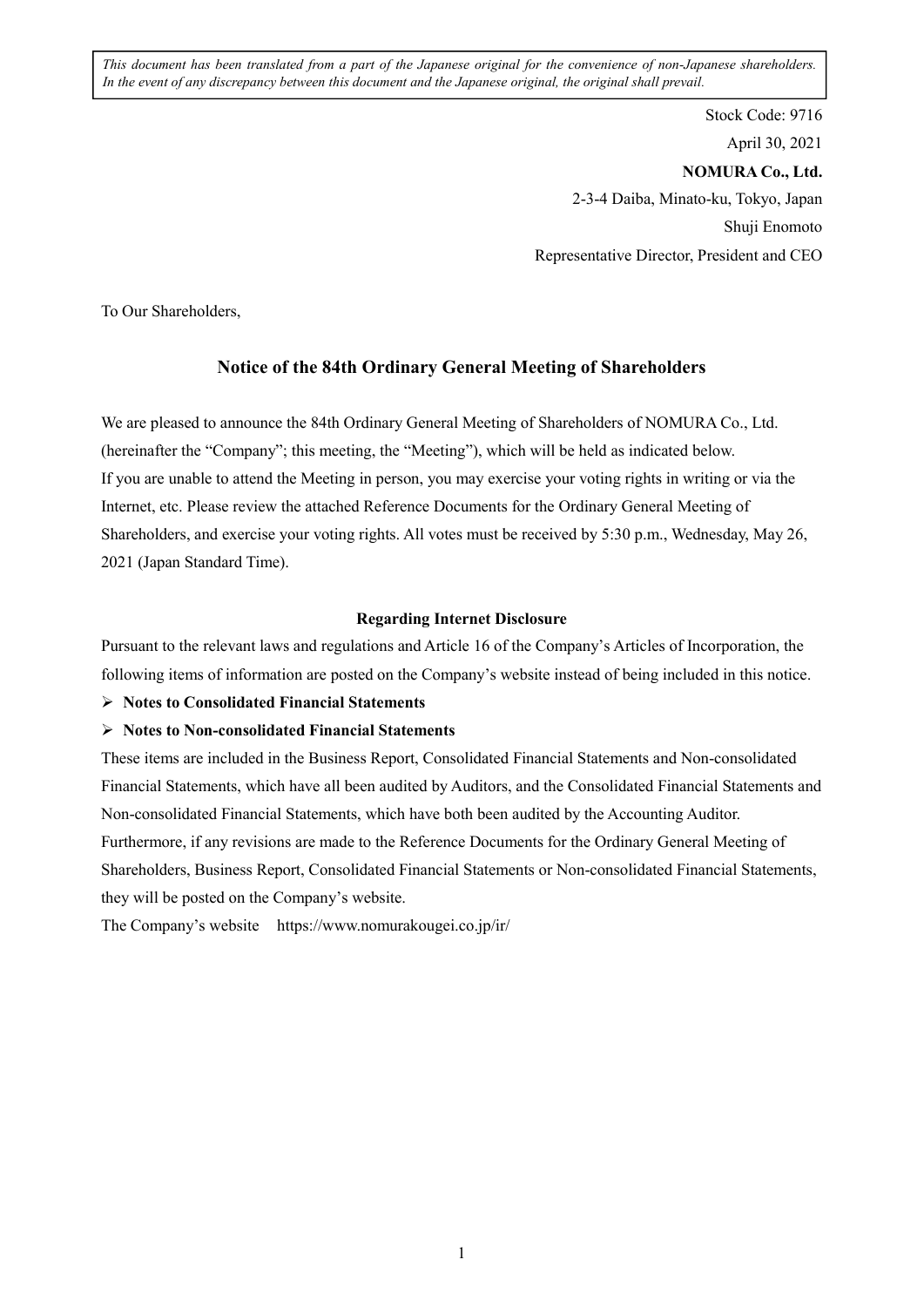*This document has been translated from a part of the Japanese original for the convenience of non-Japanese shareholders. In the event of any discrepancy between this document and the Japanese original, the original shall prevail.*

> Stock Code: 9716 April 30, 2021 **NOMURA Co., Ltd.**  2-3-4 Daiba, Minato-ku, Tokyo, Japan Shuji Enomoto Representative Director, President and CEO

To Our Shareholders,

## **Notice of the 84th Ordinary General Meeting of Shareholders**

We are pleased to announce the 84th Ordinary General Meeting of Shareholders of NOMURA Co., Ltd. (hereinafter the "Company"; this meeting, the "Meeting"), which will be held as indicated below. If you are unable to attend the Meeting in person, you may exercise your voting rights in writing or via the Internet, etc. Please review the attached Reference Documents for the Ordinary General Meeting of Shareholders, and exercise your voting rights. All votes must be received by 5:30 p.m., Wednesday, May 26, 2021 (Japan Standard Time).

#### **Regarding Internet Disclosure**

Pursuant to the relevant laws and regulations and Article 16 of the Company's Articles of Incorporation, the following items of information are posted on the Company's website instead of being included in this notice.

#### **Notes to Consolidated Financial Statements**

#### **Notes to Non-consolidated Financial Statements**

These items are included in the Business Report, Consolidated Financial Statements and Non-consolidated Financial Statements, which have all been audited by Auditors, and the Consolidated Financial Statements and Non-consolidated Financial Statements, which have both been audited by the Accounting Auditor. Furthermore, if any revisions are made to the Reference Documents for the Ordinary General Meeting of Shareholders, Business Report, Consolidated Financial Statements or Non-consolidated Financial Statements, they will be posted on the Company's website.

The Company's website https://www.nomurakougei.co.jp/ir/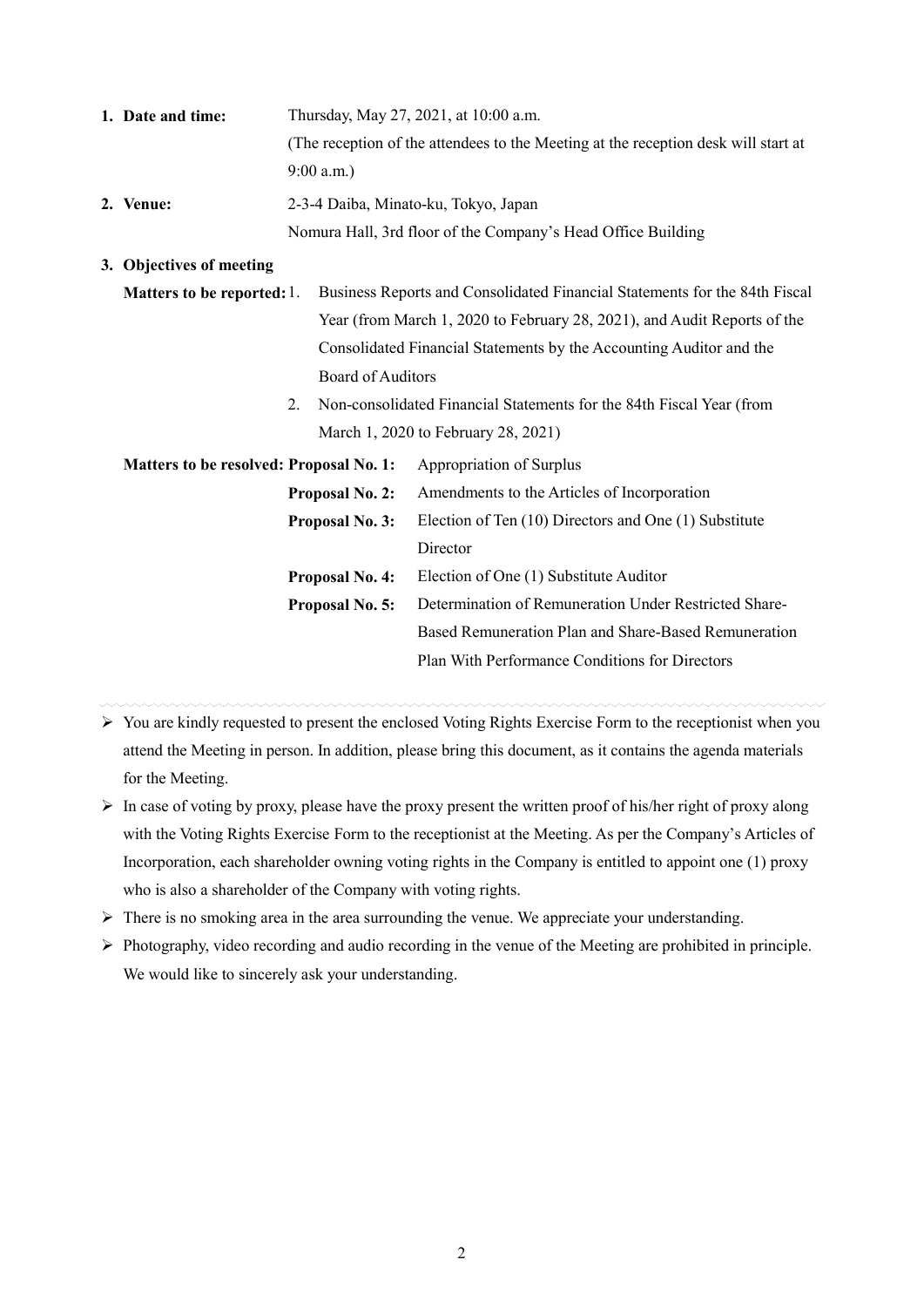| 1. Date and time: | Thursday, May 27, 2021, at 10:00 a.m.                                              |
|-------------------|------------------------------------------------------------------------------------|
|                   | (The reception of the attendees to the Meeting at the reception desk will start at |
|                   | $9:00$ a.m.)                                                                       |
| 2. Venue:         | 2-3-4 Daiba, Minato-ku, Tokyo, Japan                                               |
|                   | Nomura Hall, 3rd floor of the Company's Head Office Building                       |

#### **3. Objectives of meeting**

- **Matters to be reported:** 1. Business Reports and Consolidated Financial Statements for the 84th Fiscal Year (from March 1, 2020 to February 28, 2021), and Audit Reports of the Consolidated Financial Statements by the Accounting Auditor and the Board of Auditors
	- 2. Non-consolidated Financial Statements for the 84th Fiscal Year (from March 1, 2020 to February 28, 2021)

| <b>Matters to be resolved: Proposal No. 1:</b> | Appropriation of Surplus                              |
|------------------------------------------------|-------------------------------------------------------|
| Proposal No. 2:                                | Amendments to the Articles of Incorporation           |
| Proposal No. 3:                                | Election of Ten (10) Directors and One (1) Substitute |
|                                                | Director                                              |
| <b>Proposal No. 4:</b>                         | Election of One (1) Substitute Auditor                |
| <b>Proposal No. 5:</b>                         | Determination of Remuneration Under Restricted Share- |
|                                                | Based Remuneration Plan and Share-Based Remuneration  |
|                                                | Plan With Performance Conditions for Directors        |
|                                                |                                                       |

- $\triangleright$  You are kindly requested to present the enclosed Voting Rights Exercise Form to the receptionist when you attend the Meeting in person. In addition, please bring this document, as it contains the agenda materials for the Meeting.
- $\triangleright$  In case of voting by proxy, please have the proxy present the written proof of his/her right of proxy along with the Voting Rights Exercise Form to the receptionist at the Meeting. As per the Company's Articles of Incorporation, each shareholder owning voting rights in the Company is entitled to appoint one (1) proxy who is also a shareholder of the Company with voting rights.
- $\triangleright$  There is no smoking area in the area surrounding the venue. We appreciate your understanding.
- $\triangleright$  Photography, video recording and audio recording in the venue of the Meeting are prohibited in principle. We would like to sincerely ask your understanding.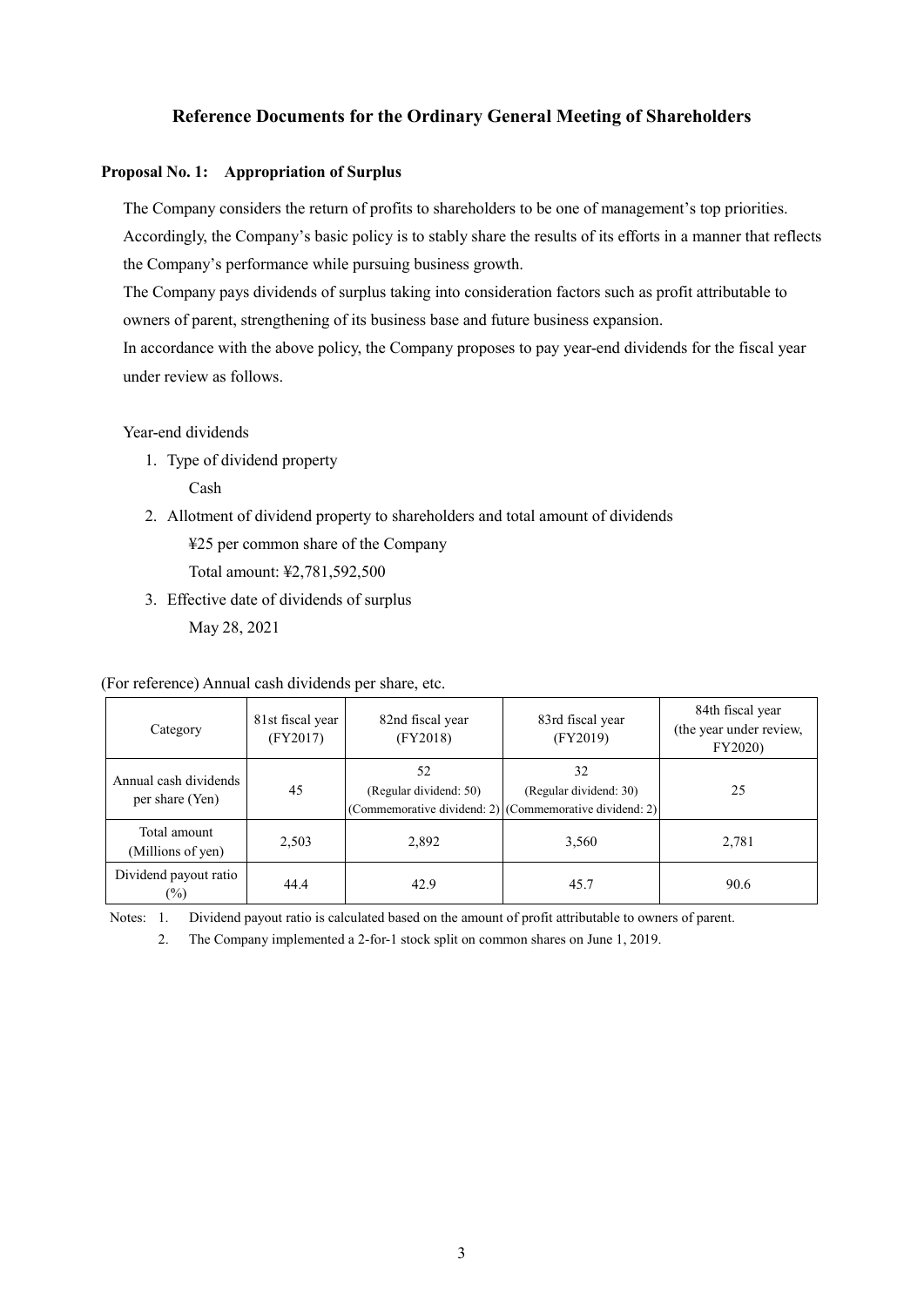# **Reference Documents for the Ordinary General Meeting of Shareholders**

#### **Proposal No. 1: Appropriation of Surplus**

The Company considers the return of profits to shareholders to be one of management's top priorities. Accordingly, the Company's basic policy is to stably share the results of its efforts in a manner that reflects the Company's performance while pursuing business growth.

The Company pays dividends of surplus taking into consideration factors such as profit attributable to owners of parent, strengthening of its business base and future business expansion.

In accordance with the above policy, the Company proposes to pay year-end dividends for the fiscal year under review as follows.

#### Year-end dividends

1. Type of dividend property

Cash

2. Allotment of dividend property to shareholders and total amount of dividends

¥25 per common share of the Company

Total amount: ¥2,781,592,500

3. Effective date of dividends of surplus May 28, 2021

(For reference) Annual cash dividends per share, etc.

| Category                                 | 81st fiscal year<br>(FY2017) | 82nd fiscal year<br>(FY2018) | 83rd fiscal year<br>(FY2019)                                                            | 84th fiscal year<br>(the year under review,<br>FY2020) |
|------------------------------------------|------------------------------|------------------------------|-----------------------------------------------------------------------------------------|--------------------------------------------------------|
| Annual cash dividends<br>per share (Yen) | 45                           | 52<br>(Regular dividend: 50) | 32<br>(Regular dividend: 30)<br>(Commemorative dividend: 2) (Commemorative dividend: 2) | 25                                                     |
| Total amount<br>(Millions of yen)        | 2,503                        | 2,892                        | 3,560                                                                                   | 2,781                                                  |
| Dividend payout ratio<br>$(\%)$          | 44.4                         | 42.9                         | 45.7                                                                                    | 90.6                                                   |

Notes: 1. Dividend payout ratio is calculated based on the amount of profit attributable to owners of parent.

2. The Company implemented a 2-for-1 stock split on common shares on June 1, 2019.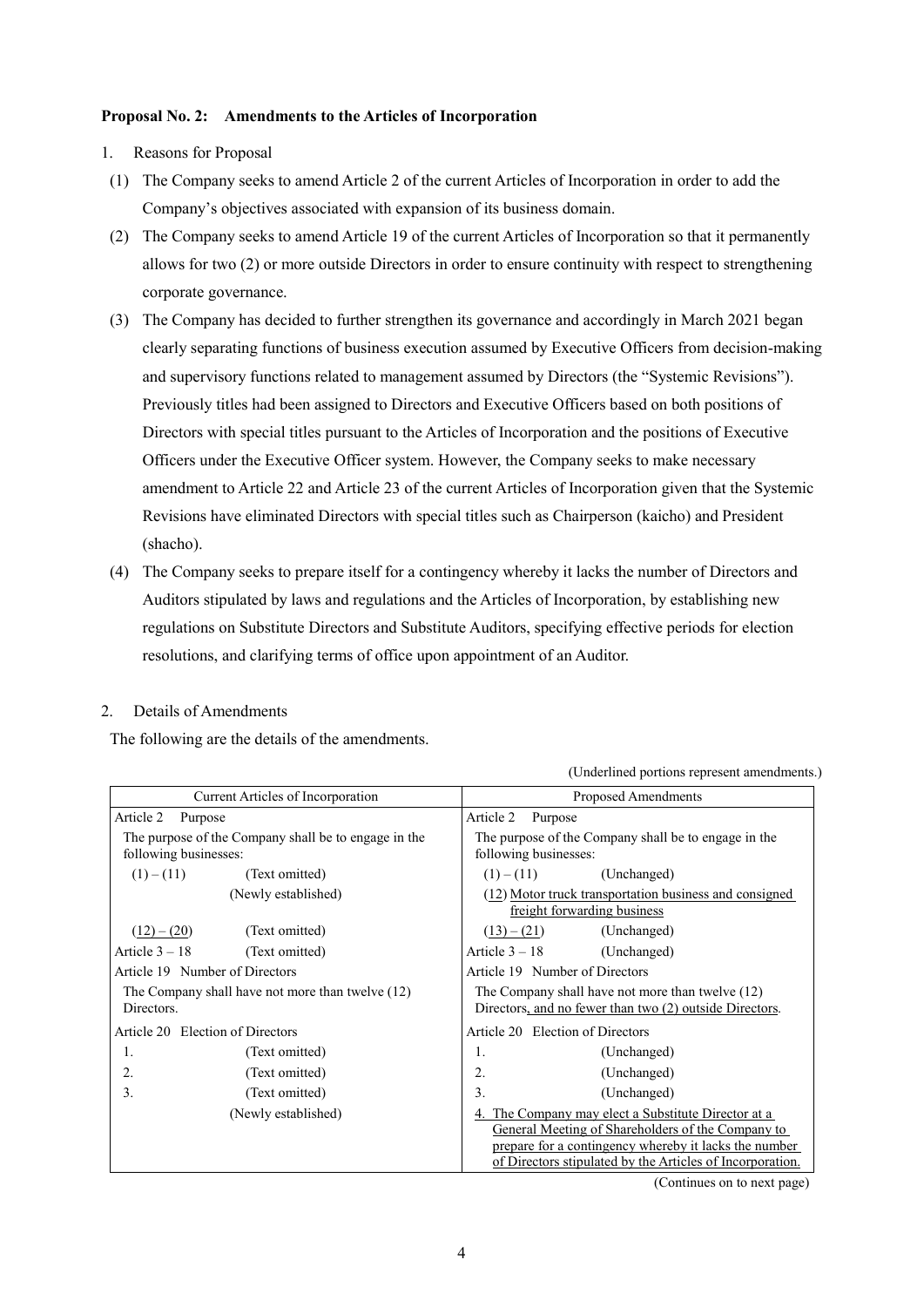#### **Proposal No. 2: Amendments to the Articles of Incorporation**

- 1. Reasons for Proposal
- (1) The Company seeks to amend Article 2 of the current Articles of Incorporation in order to add the Company's objectives associated with expansion of its business domain.
- (2) The Company seeks to amend Article 19 of the current Articles of Incorporation so that it permanently allows for two (2) or more outside Directors in order to ensure continuity with respect to strengthening corporate governance.
- (3) The Company has decided to further strengthen its governance and accordingly in March 2021 began clearly separating functions of business execution assumed by Executive Officers from decision-making and supervisory functions related to management assumed by Directors (the "Systemic Revisions"). Previously titles had been assigned to Directors and Executive Officers based on both positions of Directors with special titles pursuant to the Articles of Incorporation and the positions of Executive Officers under the Executive Officer system. However, the Company seeks to make necessary amendment to Article 22 and Article 23 of the current Articles of Incorporation given that the Systemic Revisions have eliminated Directors with special titles such as Chairperson (kaicho) and President (shacho).
- (4) The Company seeks to prepare itself for a contingency whereby it lacks the number of Directors and Auditors stipulated by laws and regulations and the Articles of Incorporation, by establishing new regulations on Substitute Directors and Substitute Auditors, specifying effective periods for election resolutions, and clarifying terms of office upon appointment of an Auditor.

## 2. Details of Amendments

The following are the details of the amendments.

(Underlined portions represent amendments.)

| Current Articles of Incorporation                    | Proposed Amendments                                                                                                                                                                                                            |
|------------------------------------------------------|--------------------------------------------------------------------------------------------------------------------------------------------------------------------------------------------------------------------------------|
| Article 2                                            | Article 2                                                                                                                                                                                                                      |
| Purpose                                              | Purpose                                                                                                                                                                                                                        |
| The purpose of the Company shall be to engage in the | The purpose of the Company shall be to engage in the                                                                                                                                                                           |
| following businesses:                                | following businesses:                                                                                                                                                                                                          |
| $(1) - (11)$                                         | (Unchanged)                                                                                                                                                                                                                    |
| (Text omitted)                                       | $(1) - (11)$                                                                                                                                                                                                                   |
| (Newly established)                                  | (12) Motor truck transportation business and consigned<br>freight forwarding business                                                                                                                                          |
| $(12) - (20)$                                        | (Unchanged)                                                                                                                                                                                                                    |
| (Text omitted)                                       | $(13) - (21)$                                                                                                                                                                                                                  |
| Article $3 - 18$                                     | Article $3 - 18$                                                                                                                                                                                                               |
| (Text omitted)                                       | (Unchanged)                                                                                                                                                                                                                    |
| Article 19 Number of Directors                       | Article 19 Number of Directors                                                                                                                                                                                                 |
| The Company shall have not more than twelve (12)     | The Company shall have not more than twelve (12)                                                                                                                                                                               |
| Directors.                                           | Directors, and no fewer than two (2) outside Directors.                                                                                                                                                                        |
| Article 20 Election of Directors                     | Article 20 Election of Directors                                                                                                                                                                                               |
| 1.                                                   | 1.                                                                                                                                                                                                                             |
| (Text omitted)                                       | (Unchanged)                                                                                                                                                                                                                    |
| 2.                                                   | 2.                                                                                                                                                                                                                             |
| (Text omitted)                                       | (Unchanged)                                                                                                                                                                                                                    |
| 3.                                                   | 3.                                                                                                                                                                                                                             |
| (Text omitted)                                       | (Unchanged)                                                                                                                                                                                                                    |
| (Newly established)                                  | 4. The Company may elect a Substitute Director at a<br>General Meeting of Shareholders of the Company to<br>prepare for a contingency whereby it lacks the number<br>of Directors stipulated by the Articles of Incorporation. |

(Continues on to next page)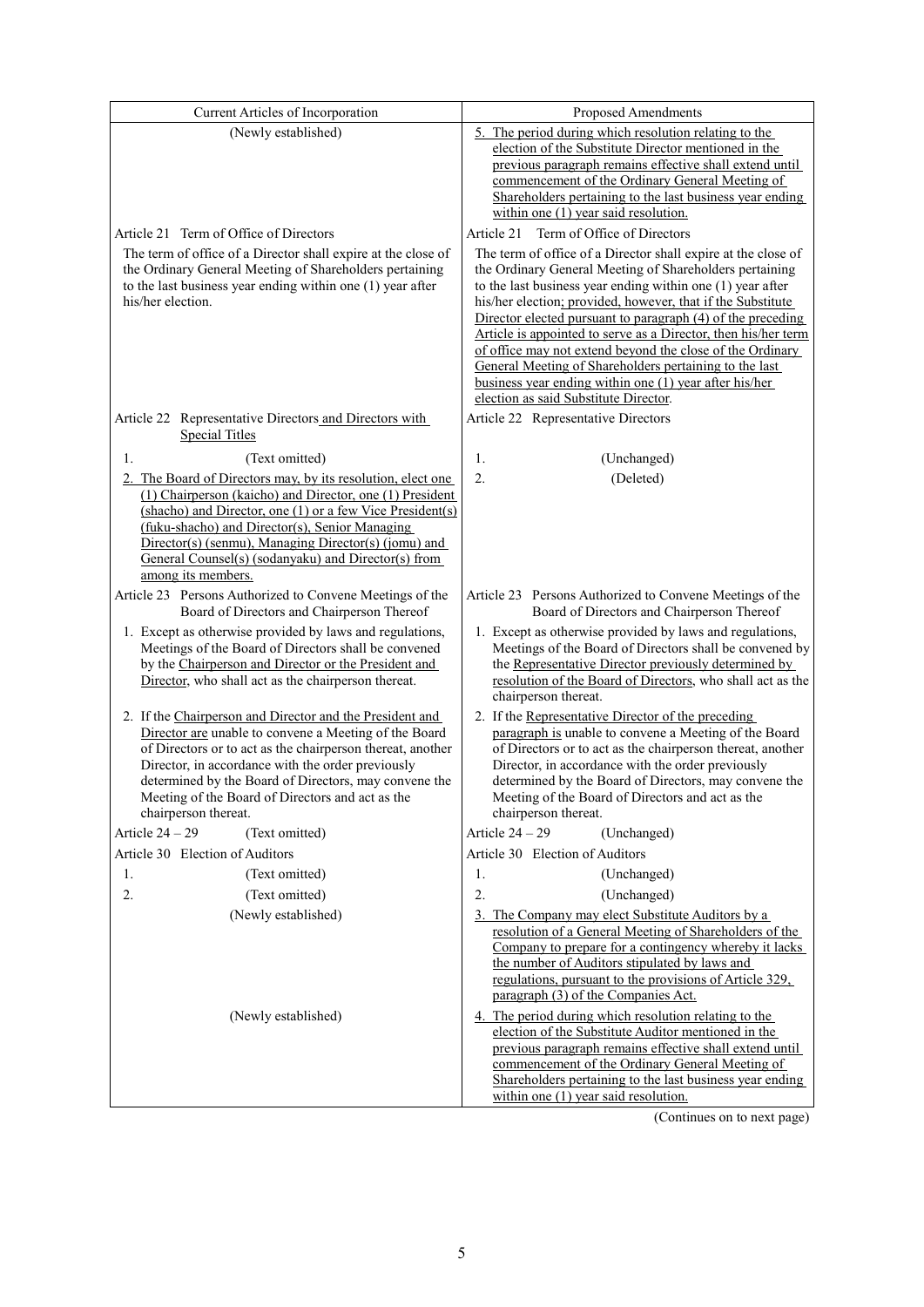| Current Articles of Incorporation                                                                           | Proposed Amendments                                                                                                        |
|-------------------------------------------------------------------------------------------------------------|----------------------------------------------------------------------------------------------------------------------------|
| (Newly established)                                                                                         | 5. The period during which resolution relating to the                                                                      |
|                                                                                                             | election of the Substitute Director mentioned in the                                                                       |
|                                                                                                             | previous paragraph remains effective shall extend until<br>commencement of the Ordinary General Meeting of                 |
|                                                                                                             | Shareholders pertaining to the last business year ending                                                                   |
|                                                                                                             | within one $(1)$ year said resolution.                                                                                     |
| Article 21 Term of Office of Directors                                                                      | Term of Office of Directors<br>Article 21                                                                                  |
| The term of office of a Director shall expire at the close of                                               | The term of office of a Director shall expire at the close of                                                              |
| the Ordinary General Meeting of Shareholders pertaining                                                     | the Ordinary General Meeting of Shareholders pertaining                                                                    |
| to the last business year ending within one (1) year after<br>his/her election.                             | to the last business year ending within one (1) year after                                                                 |
|                                                                                                             | his/her election; provided, however, that if the Substitute<br>Director elected pursuant to paragraph (4) of the preceding |
|                                                                                                             | Article is appointed to serve as a Director, then his/her term                                                             |
|                                                                                                             | of office may not extend beyond the close of the Ordinary                                                                  |
|                                                                                                             | General Meeting of Shareholders pertaining to the last<br>business year ending within one (1) year after his/her           |
|                                                                                                             | election as said Substitute Director.                                                                                      |
| Article 22 Representative Directors and Directors with                                                      | Article 22 Representative Directors                                                                                        |
| <b>Special Titles</b>                                                                                       |                                                                                                                            |
| (Text omitted)<br>1.                                                                                        | 1.<br>(Unchanged)                                                                                                          |
| 2. The Board of Directors may, by its resolution, elect one                                                 | 2.<br>(Deleted)                                                                                                            |
| (1) Chairperson (kaicho) and Director, one (1) President                                                    |                                                                                                                            |
| (shacho) and Director, one (1) or a few Vice President(s)<br>(fuku-shacho) and Director(s), Senior Managing |                                                                                                                            |
| Director(s) (senmu), Managing Director(s) (jomu) and                                                        |                                                                                                                            |
| General Counsel(s) (sodanyaku) and Director(s) from                                                         |                                                                                                                            |
| among its members.                                                                                          |                                                                                                                            |
| Article 23 Persons Authorized to Convene Meetings of the<br>Board of Directors and Chairperson Thereof      | Article 23 Persons Authorized to Convene Meetings of the<br>Board of Directors and Chairperson Thereof                     |
| 1. Except as otherwise provided by laws and regulations,                                                    | 1. Except as otherwise provided by laws and regulations,                                                                   |
| Meetings of the Board of Directors shall be convened                                                        | Meetings of the Board of Directors shall be convened by                                                                    |
| by the Chairperson and Director or the President and                                                        | the Representative Director previously determined by                                                                       |
| Director, who shall act as the chairperson thereat.                                                         | resolution of the Board of Directors, who shall act as the<br>chairperson thereat.                                         |
| 2. If the Chairperson and Director and the President and                                                    | 2. If the Representative Director of the preceding                                                                         |
| Director are unable to convene a Meeting of the Board                                                       | paragraph is unable to convene a Meeting of the Board                                                                      |
| of Directors or to act as the chairperson thereat, another                                                  | of Directors or to act as the chairperson thereat, another                                                                 |
| Director, in accordance with the order previously                                                           | Director, in accordance with the order previously                                                                          |
| determined by the Board of Directors, may convene the<br>Meeting of the Board of Directors and act as the   | determined by the Board of Directors, may convene the<br>Meeting of the Board of Directors and act as the                  |
| chairperson thereat.                                                                                        | chairperson thereat.                                                                                                       |
| Article $24 - 29$<br>(Text omitted)                                                                         | Article $24 - 29$<br>(Unchanged)                                                                                           |
| Article 30 Election of Auditors                                                                             | Article 30 Election of Auditors                                                                                            |
| (Text omitted)<br>1.                                                                                        | (Unchanged)<br>1.                                                                                                          |
| 2.<br>(Text omitted)                                                                                        | 2.<br>(Unchanged)                                                                                                          |
| (Newly established)                                                                                         | 3. The Company may elect Substitute Auditors by a                                                                          |
|                                                                                                             | resolution of a General Meeting of Shareholders of the<br>Company to prepare for a contingency whereby it lacks            |
|                                                                                                             | the number of Auditors stipulated by laws and                                                                              |
|                                                                                                             | regulations, pursuant to the provisions of Article 329,                                                                    |
|                                                                                                             | paragraph (3) of the Companies Act.                                                                                        |
| (Newly established)                                                                                         | 4. The period during which resolution relating to the<br>election of the Substitute Auditor mentioned in the               |
|                                                                                                             | previous paragraph remains effective shall extend until                                                                    |
|                                                                                                             | commencement of the Ordinary General Meeting of                                                                            |
|                                                                                                             | Shareholders pertaining to the last business year ending                                                                   |
|                                                                                                             | within one $(1)$ year said resolution.                                                                                     |

(Continues on to next page)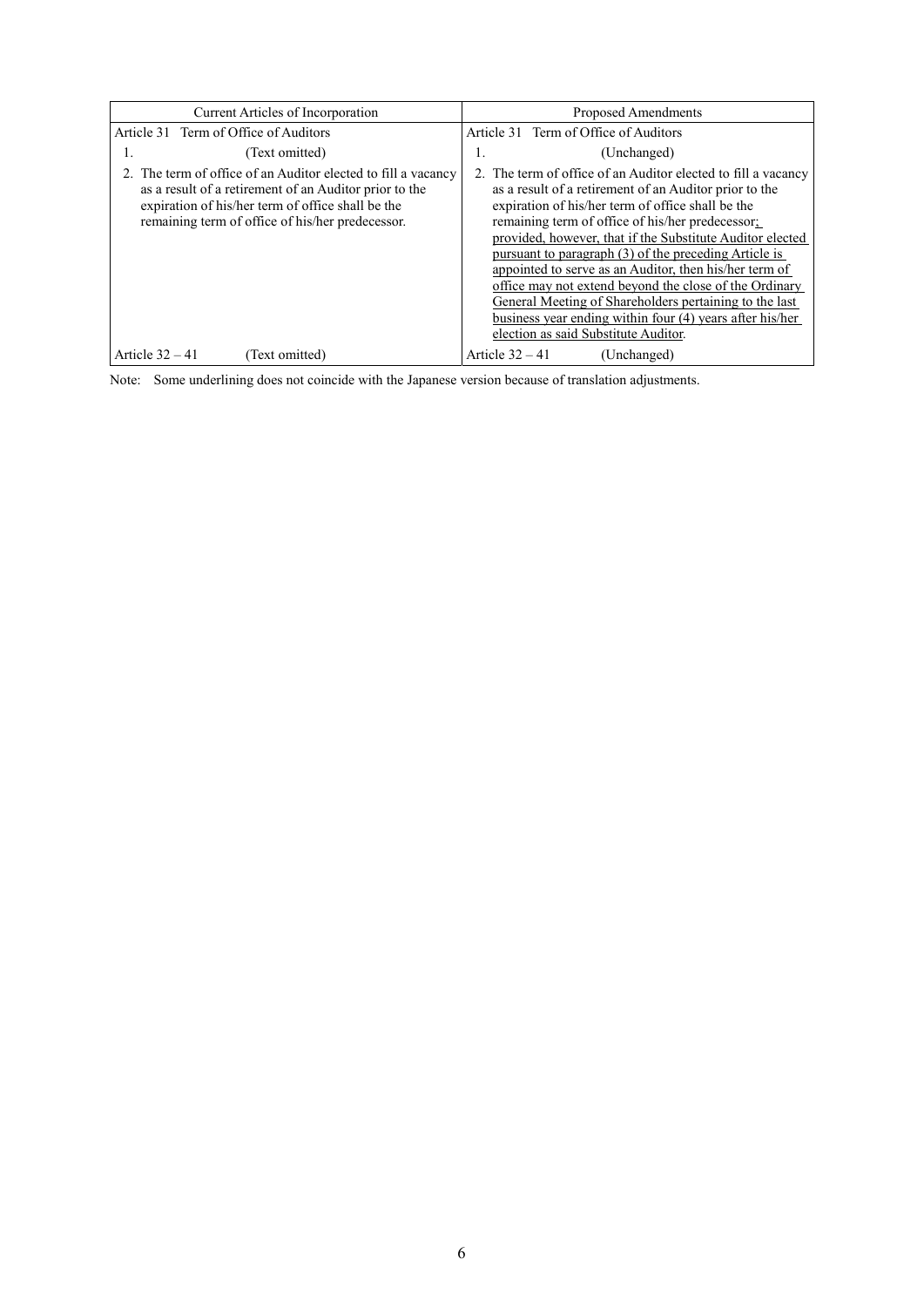| Current Articles of Incorporation                                                                                                                                                                                                | Proposed Amendments                                                                                                                                                                                                                                                                                                                                                                                                                                                                                                                                                                                                                      |
|----------------------------------------------------------------------------------------------------------------------------------------------------------------------------------------------------------------------------------|------------------------------------------------------------------------------------------------------------------------------------------------------------------------------------------------------------------------------------------------------------------------------------------------------------------------------------------------------------------------------------------------------------------------------------------------------------------------------------------------------------------------------------------------------------------------------------------------------------------------------------------|
| Article 31 Term of Office of Auditors                                                                                                                                                                                            | Article 31 Term of Office of Auditors                                                                                                                                                                                                                                                                                                                                                                                                                                                                                                                                                                                                    |
| (Text omitted)<br>ı.                                                                                                                                                                                                             | (Unchanged)<br>1.                                                                                                                                                                                                                                                                                                                                                                                                                                                                                                                                                                                                                        |
| 2. The term of office of an Auditor elected to fill a vacancy<br>as a result of a retirement of an Auditor prior to the<br>expiration of his/her term of office shall be the<br>remaining term of office of his/her predecessor. | 2. The term of office of an Auditor elected to fill a vacancy<br>as a result of a retirement of an Auditor prior to the<br>expiration of his/her term of office shall be the<br>remaining term of office of his/her predecessor;<br>provided, however, that if the Substitute Auditor elected<br>pursuant to paragraph (3) of the preceding Article is<br>appointed to serve as an Auditor, then his/her term of<br>office may not extend beyond the close of the Ordinary<br>General Meeting of Shareholders pertaining to the last<br>business year ending within four (4) years after his/her<br>election as said Substitute Auditor. |
| Article $32 - 41$<br>(Text omitted)                                                                                                                                                                                              | Article $32 - 41$<br>(Unchanged)                                                                                                                                                                                                                                                                                                                                                                                                                                                                                                                                                                                                         |

Note: Some underlining does not coincide with the Japanese version because of translation adjustments.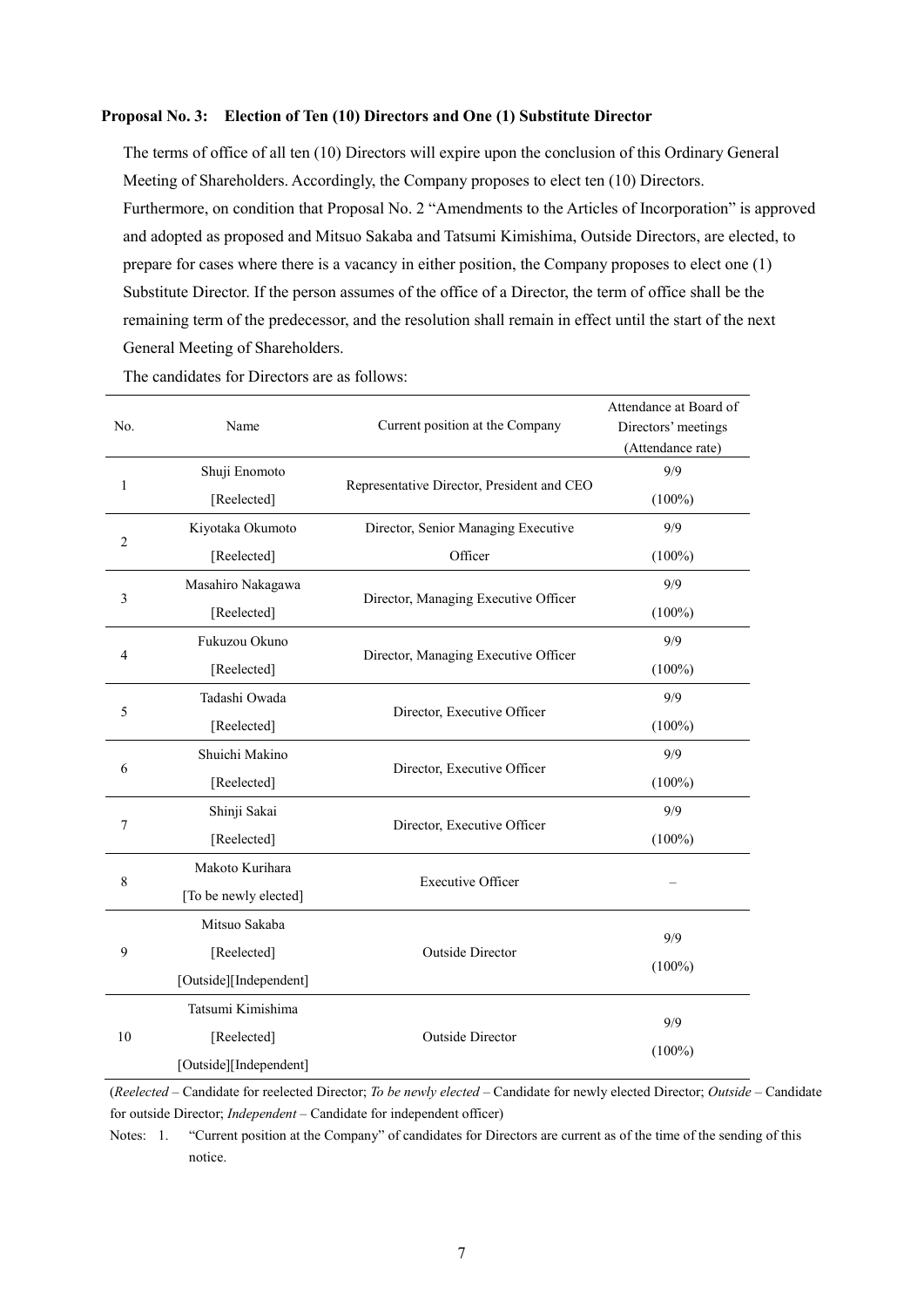#### **Proposal No. 3: Election of Ten (10) Directors and One (1) Substitute Director**

The terms of office of all ten (10) Directors will expire upon the conclusion of this Ordinary General Meeting of Shareholders. Accordingly, the Company proposes to elect ten (10) Directors. Furthermore, on condition that Proposal No. 2 "Amendments to the Articles of Incorporation" is approved and adopted as proposed and Mitsuo Sakaba and Tatsumi Kimishima, Outside Directors, are elected, to prepare for cases where there is a vacancy in either position, the Company proposes to elect one (1) Substitute Director. If the person assumes of the office of a Director, the term of office shall be the remaining term of the predecessor, and the resolution shall remain in effect until the start of the next General Meeting of Shareholders.

|                |                        |                                            | Attendance at Board of |
|----------------|------------------------|--------------------------------------------|------------------------|
| No.            | Name                   | Current position at the Company            | Directors' meetings    |
|                |                        |                                            | (Attendance rate)      |
|                | Shuji Enomoto          | Representative Director, President and CEO | 9/9                    |
| 1              | [Reelected]            |                                            | $(100\%)$              |
| $\overline{2}$ | Kiyotaka Okumoto       | Director, Senior Managing Executive        | 9/9                    |
|                | [Reelected]            | Officer                                    | $(100\%)$              |
| $\mathfrak{Z}$ | Masahiro Nakagawa      |                                            | 9/9                    |
|                | [Reelected]            | Director, Managing Executive Officer       | $(100\%)$              |
|                | Fukuzou Okuno          |                                            | 9/9                    |
| 4              | [Reelected]            | Director, Managing Executive Officer       | $(100\%)$              |
|                | Tadashi Owada          |                                            | 9/9                    |
| 5              | [Reelected]            | Director, Executive Officer                | $(100\%)$              |
|                | Shuichi Makino         |                                            | 9/9                    |
| 6              | [Reelected]            | Director, Executive Officer                | $(100\%)$              |
|                | Shinji Sakai           | Director, Executive Officer                | 9/9                    |
| 7              | [Reelected]            |                                            | $(100\%)$              |
|                | Makoto Kurihara        |                                            |                        |
| 8              | [To be newly elected]  | <b>Executive Officer</b>                   |                        |
|                | Mitsuo Sakaba          |                                            |                        |
| 9              | [Reelected]            | Outside Director                           | 9/9                    |
|                | [Outside][Independent] |                                            | $(100\%)$              |
|                | Tatsumi Kimishima      |                                            |                        |
| 10             | [Reelected]            | <b>Outside Director</b>                    | 9/9                    |
|                | [Outside][Independent] |                                            | $(100\%)$              |

The candidates for Directors are as follows:

(*Reelected* – Candidate for reelected Director; *To be newly elected* – Candidate for newly elected Director; *Outside* – Candidate for outside Director; *Independent* – Candidate for independent officer)

Notes: 1. "Current position at the Company" of candidates for Directors are current as of the time of the sending of this notice.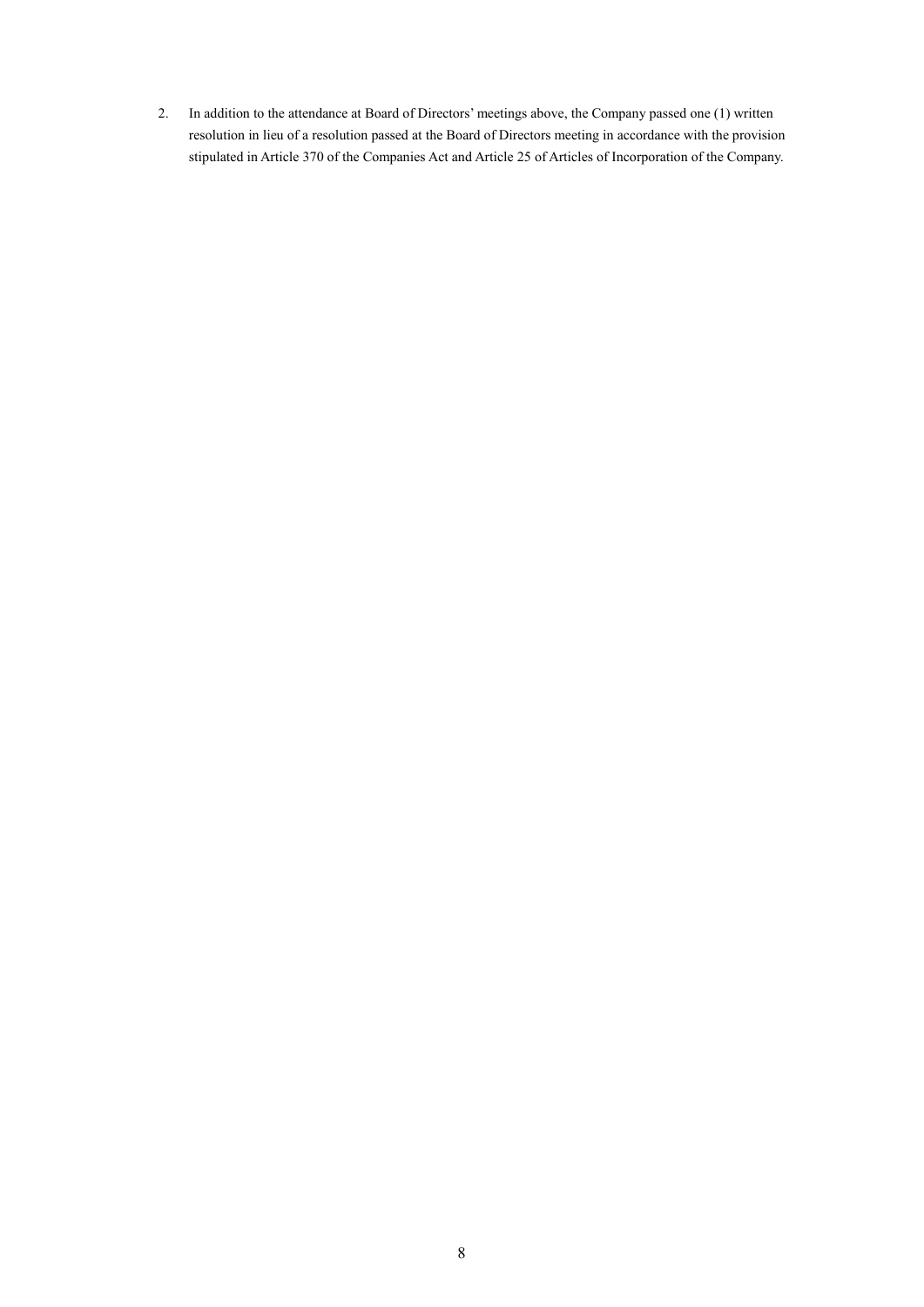2. In addition to the attendance at Board of Directors' meetings above, the Company passed one (1) written resolution in lieu of a resolution passed at the Board of Directors meeting in accordance with the provision stipulated in Article 370 of the Companies Act and Article 25 of Articles of Incorporation of the Company.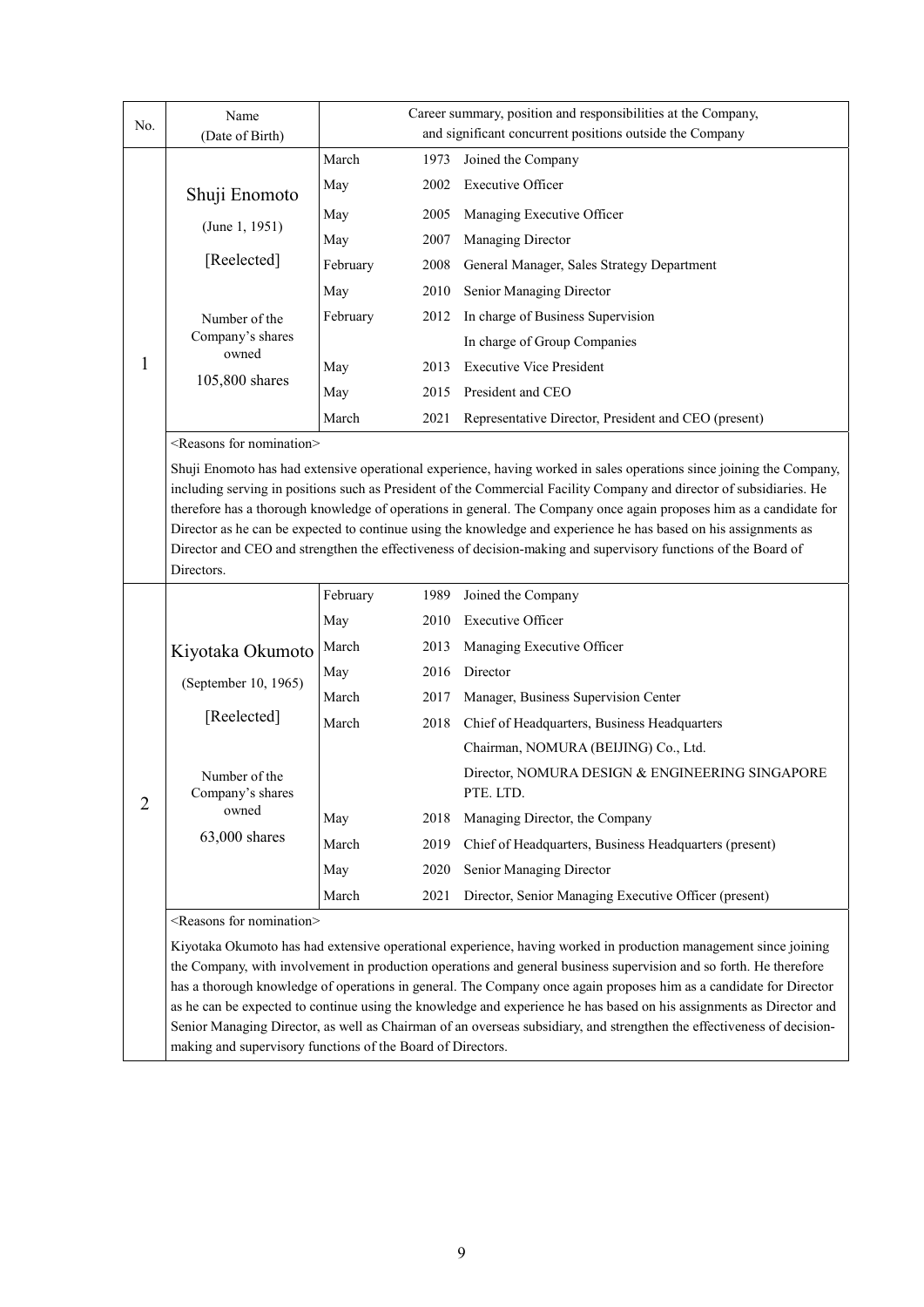| No.            | Name<br>(Date of Birth)                  | Career summary, position and responsibilities at the Company,<br>and significant concurrent positions outside the Company |      |                                                                                                                                                                                                                                                                                                                                                                                                                                                                                                                                                                                                           |
|----------------|------------------------------------------|---------------------------------------------------------------------------------------------------------------------------|------|-----------------------------------------------------------------------------------------------------------------------------------------------------------------------------------------------------------------------------------------------------------------------------------------------------------------------------------------------------------------------------------------------------------------------------------------------------------------------------------------------------------------------------------------------------------------------------------------------------------|
|                |                                          | March                                                                                                                     | 1973 | Joined the Company                                                                                                                                                                                                                                                                                                                                                                                                                                                                                                                                                                                        |
|                | Shuji Enomoto                            | May                                                                                                                       | 2002 | <b>Executive Officer</b>                                                                                                                                                                                                                                                                                                                                                                                                                                                                                                                                                                                  |
|                |                                          | May                                                                                                                       | 2005 | Managing Executive Officer                                                                                                                                                                                                                                                                                                                                                                                                                                                                                                                                                                                |
|                | (June 1, 1951)                           | May                                                                                                                       | 2007 | Managing Director                                                                                                                                                                                                                                                                                                                                                                                                                                                                                                                                                                                         |
|                | [Reelected]                              | February                                                                                                                  | 2008 | General Manager, Sales Strategy Department                                                                                                                                                                                                                                                                                                                                                                                                                                                                                                                                                                |
|                |                                          | May                                                                                                                       | 2010 | Senior Managing Director                                                                                                                                                                                                                                                                                                                                                                                                                                                                                                                                                                                  |
|                | Number of the                            | February                                                                                                                  | 2012 | In charge of Business Supervision                                                                                                                                                                                                                                                                                                                                                                                                                                                                                                                                                                         |
|                | Company's shares<br>owned                |                                                                                                                           |      | In charge of Group Companies                                                                                                                                                                                                                                                                                                                                                                                                                                                                                                                                                                              |
| 1              | 105,800 shares                           | May                                                                                                                       | 2013 | <b>Executive Vice President</b>                                                                                                                                                                                                                                                                                                                                                                                                                                                                                                                                                                           |
|                |                                          | May                                                                                                                       | 2015 | President and CEO                                                                                                                                                                                                                                                                                                                                                                                                                                                                                                                                                                                         |
|                |                                          | March                                                                                                                     | 2021 | Representative Director, President and CEO (present)                                                                                                                                                                                                                                                                                                                                                                                                                                                                                                                                                      |
|                | <reasons for="" nomination=""></reasons> |                                                                                                                           |      |                                                                                                                                                                                                                                                                                                                                                                                                                                                                                                                                                                                                           |
|                | Directors.                               |                                                                                                                           |      | Shuji Enomoto has had extensive operational experience, having worked in sales operations since joining the Company,<br>including serving in positions such as President of the Commercial Facility Company and director of subsidiaries. He<br>therefore has a thorough knowledge of operations in general. The Company once again proposes him as a candidate for<br>Director as he can be expected to continue using the knowledge and experience he has based on his assignments as<br>Director and CEO and strengthen the effectiveness of decision-making and supervisory functions of the Board of |
|                |                                          | February                                                                                                                  | 1989 | Joined the Company                                                                                                                                                                                                                                                                                                                                                                                                                                                                                                                                                                                        |
|                |                                          | May                                                                                                                       | 2010 | <b>Executive Officer</b>                                                                                                                                                                                                                                                                                                                                                                                                                                                                                                                                                                                  |
|                | Kiyotaka Okumoto                         | March                                                                                                                     | 2013 | Managing Executive Officer                                                                                                                                                                                                                                                                                                                                                                                                                                                                                                                                                                                |
|                | (September 10, 1965)                     | May                                                                                                                       | 2016 | Director                                                                                                                                                                                                                                                                                                                                                                                                                                                                                                                                                                                                  |
|                |                                          | March                                                                                                                     | 2017 | Manager, Business Supervision Center                                                                                                                                                                                                                                                                                                                                                                                                                                                                                                                                                                      |
|                | [Reelected]                              | March                                                                                                                     | 2018 | Chief of Headquarters, Business Headquarters                                                                                                                                                                                                                                                                                                                                                                                                                                                                                                                                                              |
|                |                                          |                                                                                                                           |      | Chairman, NOMURA (BEIJING) Co., Ltd.                                                                                                                                                                                                                                                                                                                                                                                                                                                                                                                                                                      |
|                | Number of the<br>Company's shares        |                                                                                                                           |      | Director, NOMURA DESIGN & ENGINEERING SINGAPORE<br>PTE. LTD.                                                                                                                                                                                                                                                                                                                                                                                                                                                                                                                                              |
| $\overline{2}$ | owned                                    | May                                                                                                                       | 2018 | Managing Director, the Company                                                                                                                                                                                                                                                                                                                                                                                                                                                                                                                                                                            |
|                | 63,000 shares                            | March                                                                                                                     | 2019 | Chief of Headquarters, Business Headquarters (present)                                                                                                                                                                                                                                                                                                                                                                                                                                                                                                                                                    |
|                |                                          | May                                                                                                                       | 2020 | Senior Managing Director                                                                                                                                                                                                                                                                                                                                                                                                                                                                                                                                                                                  |
|                |                                          | March                                                                                                                     | 2021 | Director, Senior Managing Executive Officer (present)                                                                                                                                                                                                                                                                                                                                                                                                                                                                                                                                                     |
|                | <reasons for="" nomination=""></reasons> |                                                                                                                           |      |                                                                                                                                                                                                                                                                                                                                                                                                                                                                                                                                                                                                           |
|                |                                          |                                                                                                                           |      | Kiyotaka Okumoto has had extensive operational experience, having worked in production management since joining<br>the Company, with involvement in production operations and general business supervision and so forth. He therefore<br>has a thorough knowledge of operations in general. The Company once again proposes him as a candidate for Director<br>as he can be expected to continue using the knowledge and experience he has based on his assignments as Director and                                                                                                                       |

as he can be expected to continue using the knowledge and experience he has based on his assignments as Director and Senior Managing Director, as well as Chairman of an overseas subsidiary, and strengthen the effectiveness of decisionmaking and supervisory functions of the Board of Directors.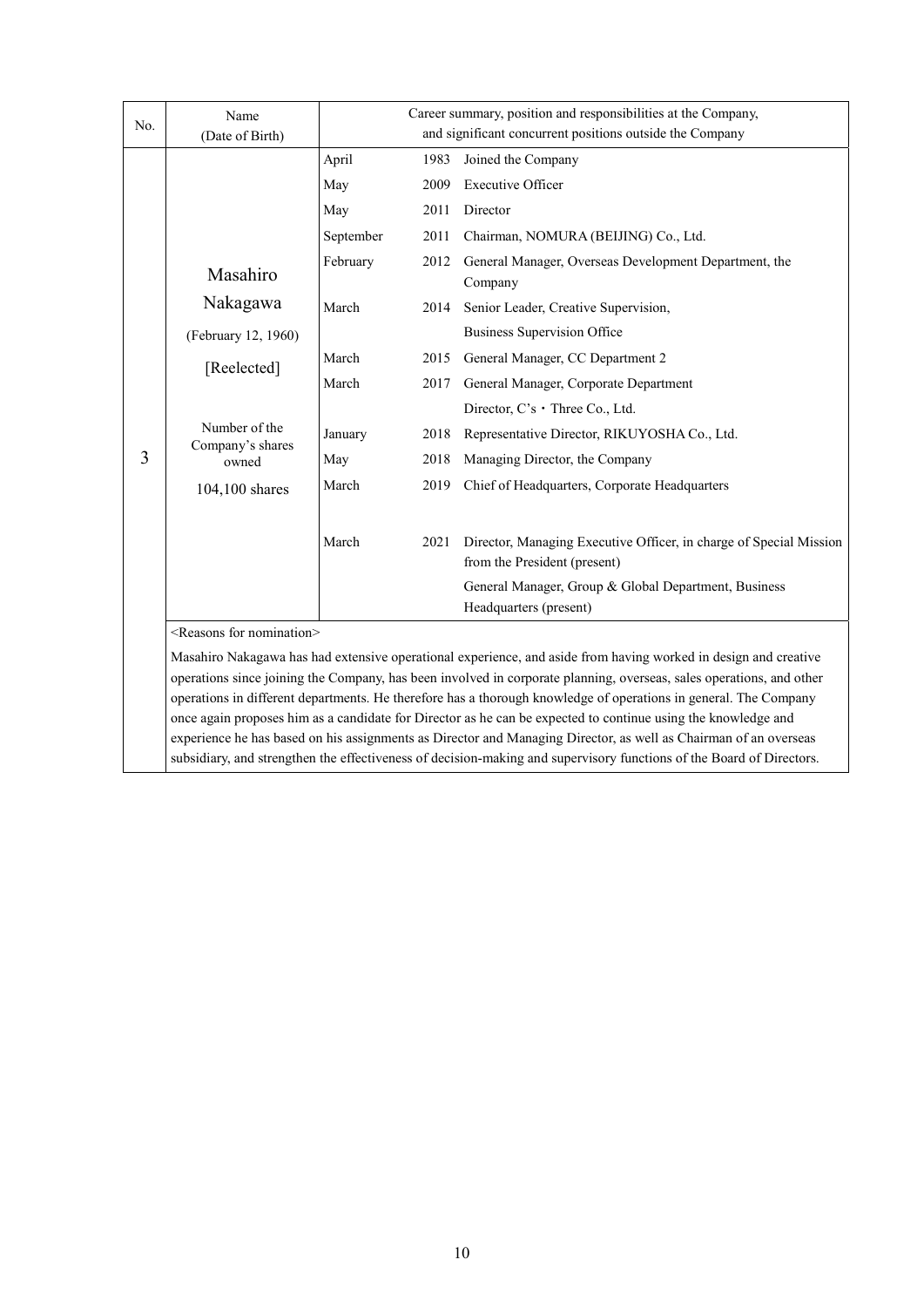| No. | Name<br>(Date of Birth)                                                                                                                                                                                                           | Career summary, position and responsibilities at the Company,<br>and significant concurrent positions outside the Company |      |                                                                                                                      |  |  |
|-----|-----------------------------------------------------------------------------------------------------------------------------------------------------------------------------------------------------------------------------------|---------------------------------------------------------------------------------------------------------------------------|------|----------------------------------------------------------------------------------------------------------------------|--|--|
|     |                                                                                                                                                                                                                                   | April                                                                                                                     | 1983 | Joined the Company                                                                                                   |  |  |
|     |                                                                                                                                                                                                                                   | May                                                                                                                       | 2009 | <b>Executive Officer</b>                                                                                             |  |  |
|     |                                                                                                                                                                                                                                   | May                                                                                                                       | 2011 | Director                                                                                                             |  |  |
|     |                                                                                                                                                                                                                                   | September                                                                                                                 | 2011 | Chairman, NOMURA (BEIJING) Co., Ltd.                                                                                 |  |  |
|     | Masahiro                                                                                                                                                                                                                          | February                                                                                                                  | 2012 | General Manager, Overseas Development Department, the<br>Company                                                     |  |  |
|     | Nakagawa                                                                                                                                                                                                                          | March                                                                                                                     | 2014 | Senior Leader, Creative Supervision,                                                                                 |  |  |
|     | (February 12, 1960)                                                                                                                                                                                                               |                                                                                                                           |      | <b>Business Supervision Office</b>                                                                                   |  |  |
|     | [Reelected]                                                                                                                                                                                                                       | March                                                                                                                     | 2015 | General Manager, CC Department 2                                                                                     |  |  |
|     |                                                                                                                                                                                                                                   | March                                                                                                                     | 2017 | General Manager, Corporate Department                                                                                |  |  |
|     | Number of the<br>Company's shares<br>owned                                                                                                                                                                                        |                                                                                                                           |      | Director, $C$ 's $\cdot$ Three Co., Ltd.                                                                             |  |  |
|     |                                                                                                                                                                                                                                   | January                                                                                                                   | 2018 | Representative Director, RIKUYOSHA Co., Ltd.                                                                         |  |  |
| 3   |                                                                                                                                                                                                                                   | May                                                                                                                       | 2018 | Managing Director, the Company                                                                                       |  |  |
|     | 104,100 shares                                                                                                                                                                                                                    | March                                                                                                                     | 2019 | Chief of Headquarters, Corporate Headquarters                                                                        |  |  |
|     |                                                                                                                                                                                                                                   | March                                                                                                                     | 2021 | Director, Managing Executive Officer, in charge of Special Mission<br>from the President (present)                   |  |  |
|     |                                                                                                                                                                                                                                   |                                                                                                                           |      | General Manager, Group & Global Department, Business<br>Headquarters (present)                                       |  |  |
|     | <reasons for="" nomination=""></reasons>                                                                                                                                                                                          |                                                                                                                           |      |                                                                                                                      |  |  |
|     |                                                                                                                                                                                                                                   |                                                                                                                           |      | Masahiro Nakagawa has had extensive operational experience, and aside from having worked in design and creative      |  |  |
|     | operations since joining the Company, has been involved in corporate planning, overseas, sales operations, and other                                                                                                              |                                                                                                                           |      |                                                                                                                      |  |  |
|     |                                                                                                                                                                                                                                   |                                                                                                                           |      | operations in different departments. He therefore has a thorough knowledge of operations in general. The Company     |  |  |
|     | once again proposes him as a candidate for Director as he can be expected to continue using the knowledge and<br>experience he has based on his assignments as Director and Managing Director, as well as Chairman of an overseas |                                                                                                                           |      |                                                                                                                      |  |  |
|     |                                                                                                                                                                                                                                   |                                                                                                                           |      | subsidiary, and strengthen the effectiveness of decision-making and supervisory functions of the Board of Directors. |  |  |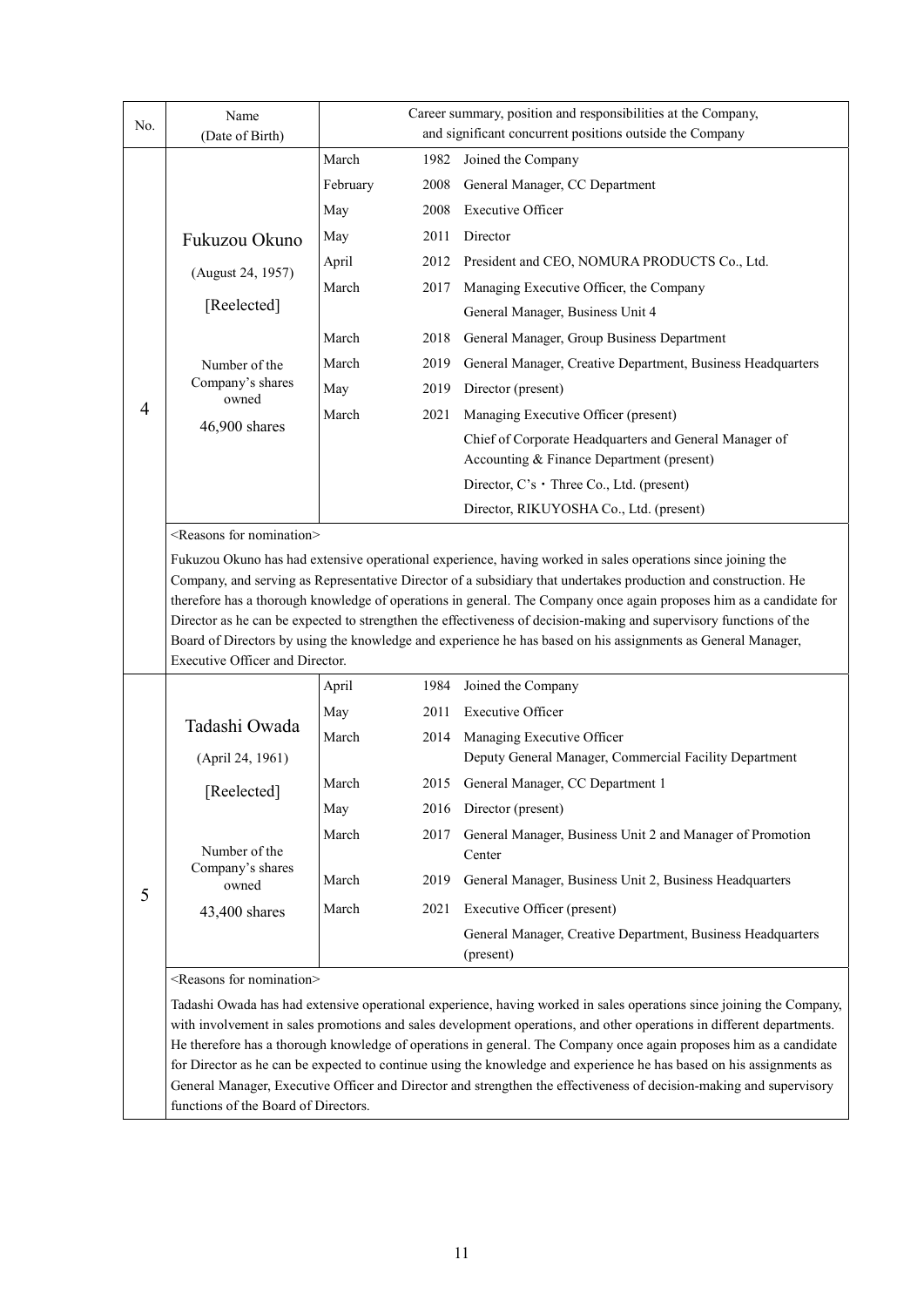|     | Name                                                                                                                                                                                                                                       | Career summary, position and responsibilities at the Company, |      |                                                                                                                                                                                                                                           |  |  |
|-----|--------------------------------------------------------------------------------------------------------------------------------------------------------------------------------------------------------------------------------------------|---------------------------------------------------------------|------|-------------------------------------------------------------------------------------------------------------------------------------------------------------------------------------------------------------------------------------------|--|--|
| No. | (Date of Birth)                                                                                                                                                                                                                            | and significant concurrent positions outside the Company      |      |                                                                                                                                                                                                                                           |  |  |
|     |                                                                                                                                                                                                                                            | March                                                         | 1982 | Joined the Company                                                                                                                                                                                                                        |  |  |
|     |                                                                                                                                                                                                                                            | February                                                      | 2008 | General Manager, CC Department                                                                                                                                                                                                            |  |  |
|     |                                                                                                                                                                                                                                            | May                                                           | 2008 | <b>Executive Officer</b>                                                                                                                                                                                                                  |  |  |
|     | Fukuzou Okuno                                                                                                                                                                                                                              | May                                                           | 2011 | Director                                                                                                                                                                                                                                  |  |  |
|     | (August 24, 1957)                                                                                                                                                                                                                          | April                                                         | 2012 | President and CEO, NOMURA PRODUCTS Co., Ltd.                                                                                                                                                                                              |  |  |
|     |                                                                                                                                                                                                                                            | March                                                         | 2017 | Managing Executive Officer, the Company                                                                                                                                                                                                   |  |  |
|     | [Reelected]                                                                                                                                                                                                                                |                                                               |      | General Manager, Business Unit 4                                                                                                                                                                                                          |  |  |
|     |                                                                                                                                                                                                                                            | March                                                         | 2018 | General Manager, Group Business Department                                                                                                                                                                                                |  |  |
|     | Number of the                                                                                                                                                                                                                              | March                                                         | 2019 | General Manager, Creative Department, Business Headquarters                                                                                                                                                                               |  |  |
|     | Company's shares<br>owned                                                                                                                                                                                                                  | May                                                           | 2019 | Director (present)                                                                                                                                                                                                                        |  |  |
| 4   |                                                                                                                                                                                                                                            | March                                                         | 2021 | Managing Executive Officer (present)                                                                                                                                                                                                      |  |  |
|     | 46,900 shares                                                                                                                                                                                                                              |                                                               |      | Chief of Corporate Headquarters and General Manager of                                                                                                                                                                                    |  |  |
|     |                                                                                                                                                                                                                                            |                                                               |      | Accounting & Finance Department (present)                                                                                                                                                                                                 |  |  |
|     |                                                                                                                                                                                                                                            |                                                               |      | Director, $C$ 's $\cdot$ Three Co., Ltd. (present)                                                                                                                                                                                        |  |  |
|     |                                                                                                                                                                                                                                            |                                                               |      | Director, RIKUYOSHA Co., Ltd. (present)                                                                                                                                                                                                   |  |  |
|     | <reasons for="" nomination=""></reasons>                                                                                                                                                                                                   |                                                               |      |                                                                                                                                                                                                                                           |  |  |
|     | Fukuzou Okuno has had extensive operational experience, having worked in sales operations since joining the                                                                                                                                |                                                               |      |                                                                                                                                                                                                                                           |  |  |
|     |                                                                                                                                                                                                                                            |                                                               |      | Company, and serving as Representative Director of a subsidiary that undertakes production and construction. He                                                                                                                           |  |  |
|     |                                                                                                                                                                                                                                            |                                                               |      | therefore has a thorough knowledge of operations in general. The Company once again proposes him as a candidate for<br>Director as he can be expected to strengthen the effectiveness of decision-making and supervisory functions of the |  |  |
|     |                                                                                                                                                                                                                                            |                                                               |      | Board of Directors by using the knowledge and experience he has based on his assignments as General Manager,                                                                                                                              |  |  |
|     | Executive Officer and Director.                                                                                                                                                                                                            |                                                               |      |                                                                                                                                                                                                                                           |  |  |
|     |                                                                                                                                                                                                                                            | April                                                         | 1984 | Joined the Company                                                                                                                                                                                                                        |  |  |
|     | Tadashi Owada                                                                                                                                                                                                                              | May                                                           | 2011 | <b>Executive Officer</b>                                                                                                                                                                                                                  |  |  |
|     |                                                                                                                                                                                                                                            | March                                                         | 2014 | Managing Executive Officer                                                                                                                                                                                                                |  |  |
|     | (April 24, 1961)                                                                                                                                                                                                                           |                                                               |      | Deputy General Manager, Commercial Facility Department                                                                                                                                                                                    |  |  |
|     | [Reelected]                                                                                                                                                                                                                                | March                                                         | 2015 | General Manager, CC Department 1                                                                                                                                                                                                          |  |  |
|     |                                                                                                                                                                                                                                            | May                                                           | 2016 | Director (present)                                                                                                                                                                                                                        |  |  |
|     |                                                                                                                                                                                                                                            | March                                                         | 2017 | General Manager, Business Unit 2 and Manager of Promotion                                                                                                                                                                                 |  |  |
|     | Number of the                                                                                                                                                                                                                              |                                                               |      | Center                                                                                                                                                                                                                                    |  |  |
|     | Company's shares<br>owned                                                                                                                                                                                                                  | March                                                         | 2019 | General Manager, Business Unit 2, Business Headquarters                                                                                                                                                                                   |  |  |
| 5   | 43,400 shares                                                                                                                                                                                                                              | March                                                         | 2021 | Executive Officer (present)                                                                                                                                                                                                               |  |  |
|     |                                                                                                                                                                                                                                            |                                                               |      | General Manager, Creative Department, Business Headquarters                                                                                                                                                                               |  |  |
|     |                                                                                                                                                                                                                                            |                                                               |      | (present)                                                                                                                                                                                                                                 |  |  |
|     | <reasons for="" nomination=""></reasons>                                                                                                                                                                                                   |                                                               |      |                                                                                                                                                                                                                                           |  |  |
|     |                                                                                                                                                                                                                                            |                                                               |      | Tadashi Owada has had extensive operational experience, having worked in sales operations since joining the Company,                                                                                                                      |  |  |
|     |                                                                                                                                                                                                                                            |                                                               |      | with involvement in sales promotions and sales development operations, and other operations in different departments.                                                                                                                     |  |  |
|     | He therefore has a thorough knowledge of operations in general. The Company once again proposes him as a candidate<br>for Director as he can be expected to continue using the knowledge and experience he has based on his assignments as |                                                               |      |                                                                                                                                                                                                                                           |  |  |
|     |                                                                                                                                                                                                                                            |                                                               |      | General Manager, Executive Officer and Director and strengthen the effectiveness of decision-making and supervisory                                                                                                                       |  |  |

functions of the Board of Directors.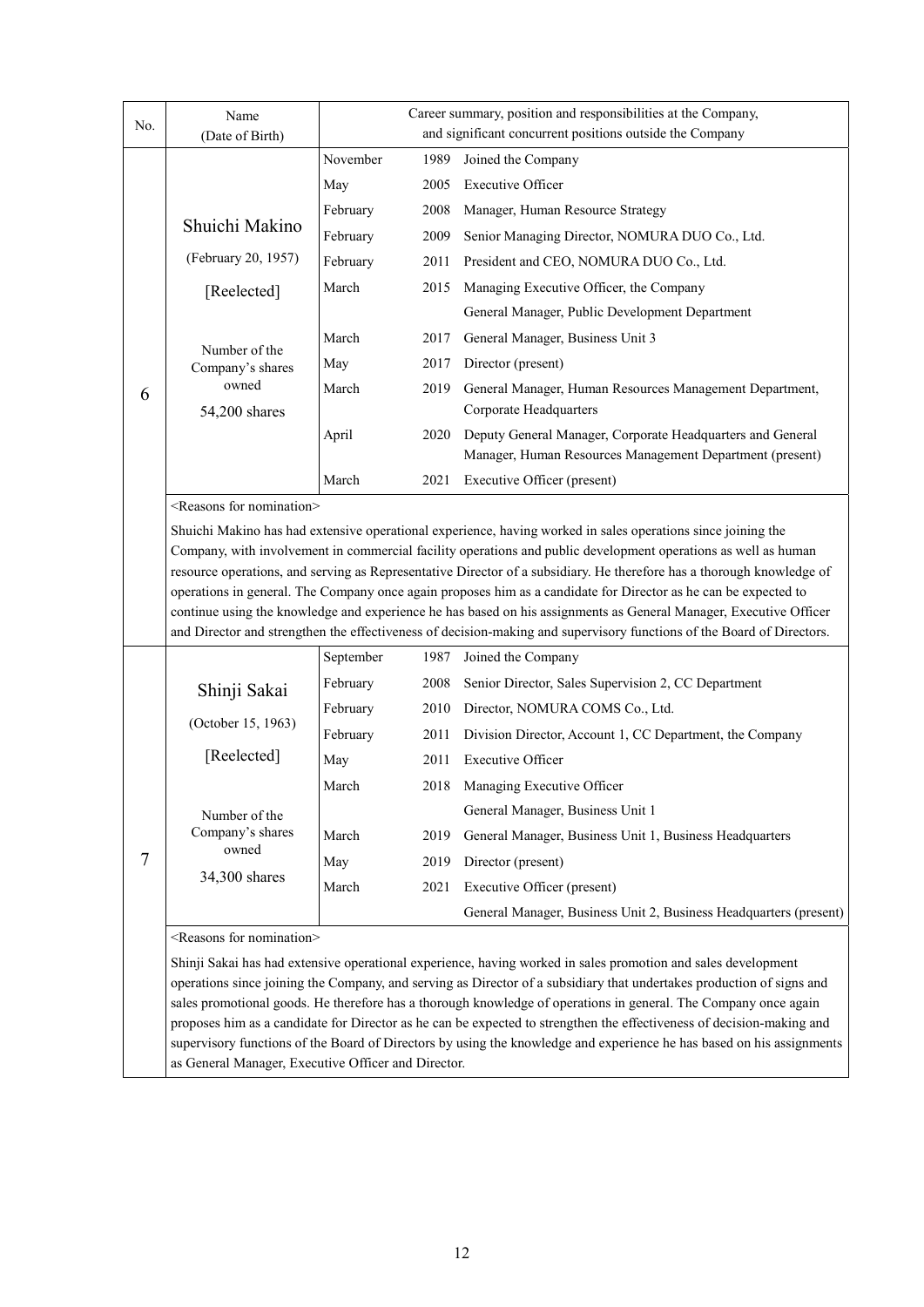| No. | Name<br>(Date of Birth)                                                                                                                                                                                                                                                                                                                                                                                                                                                                                                                                                                                                                                            | Career summary, position and responsibilities at the Company,<br>and significant concurrent positions outside the Company |      |                                                                                                                                                                                                                                                                                                                                                                                                                                                                                        |
|-----|--------------------------------------------------------------------------------------------------------------------------------------------------------------------------------------------------------------------------------------------------------------------------------------------------------------------------------------------------------------------------------------------------------------------------------------------------------------------------------------------------------------------------------------------------------------------------------------------------------------------------------------------------------------------|---------------------------------------------------------------------------------------------------------------------------|------|----------------------------------------------------------------------------------------------------------------------------------------------------------------------------------------------------------------------------------------------------------------------------------------------------------------------------------------------------------------------------------------------------------------------------------------------------------------------------------------|
|     |                                                                                                                                                                                                                                                                                                                                                                                                                                                                                                                                                                                                                                                                    | November                                                                                                                  | 1989 | Joined the Company                                                                                                                                                                                                                                                                                                                                                                                                                                                                     |
|     |                                                                                                                                                                                                                                                                                                                                                                                                                                                                                                                                                                                                                                                                    | May                                                                                                                       | 2005 | <b>Executive Officer</b>                                                                                                                                                                                                                                                                                                                                                                                                                                                               |
|     |                                                                                                                                                                                                                                                                                                                                                                                                                                                                                                                                                                                                                                                                    | February                                                                                                                  | 2008 | Manager, Human Resource Strategy                                                                                                                                                                                                                                                                                                                                                                                                                                                       |
|     | Shuichi Makino                                                                                                                                                                                                                                                                                                                                                                                                                                                                                                                                                                                                                                                     | February                                                                                                                  | 2009 | Senior Managing Director, NOMURA DUO Co., Ltd.                                                                                                                                                                                                                                                                                                                                                                                                                                         |
|     | (February 20, 1957)                                                                                                                                                                                                                                                                                                                                                                                                                                                                                                                                                                                                                                                | February                                                                                                                  | 2011 | President and CEO, NOMURA DUO Co., Ltd.                                                                                                                                                                                                                                                                                                                                                                                                                                                |
|     | [Reelected]                                                                                                                                                                                                                                                                                                                                                                                                                                                                                                                                                                                                                                                        | March                                                                                                                     | 2015 | Managing Executive Officer, the Company                                                                                                                                                                                                                                                                                                                                                                                                                                                |
|     |                                                                                                                                                                                                                                                                                                                                                                                                                                                                                                                                                                                                                                                                    |                                                                                                                           |      | General Manager, Public Development Department                                                                                                                                                                                                                                                                                                                                                                                                                                         |
|     |                                                                                                                                                                                                                                                                                                                                                                                                                                                                                                                                                                                                                                                                    | March                                                                                                                     | 2017 | General Manager, Business Unit 3                                                                                                                                                                                                                                                                                                                                                                                                                                                       |
|     | Number of the<br>Company's shares                                                                                                                                                                                                                                                                                                                                                                                                                                                                                                                                                                                                                                  | May                                                                                                                       | 2017 | Director (present)                                                                                                                                                                                                                                                                                                                                                                                                                                                                     |
| 6   | owned<br>54,200 shares                                                                                                                                                                                                                                                                                                                                                                                                                                                                                                                                                                                                                                             | March                                                                                                                     | 2019 | General Manager, Human Resources Management Department,<br>Corporate Headquarters                                                                                                                                                                                                                                                                                                                                                                                                      |
|     |                                                                                                                                                                                                                                                                                                                                                                                                                                                                                                                                                                                                                                                                    | April                                                                                                                     | 2020 | Deputy General Manager, Corporate Headquarters and General<br>Manager, Human Resources Management Department (present)                                                                                                                                                                                                                                                                                                                                                                 |
|     |                                                                                                                                                                                                                                                                                                                                                                                                                                                                                                                                                                                                                                                                    | March                                                                                                                     | 2021 | Executive Officer (present)                                                                                                                                                                                                                                                                                                                                                                                                                                                            |
|     | <reasons for="" nomination=""></reasons>                                                                                                                                                                                                                                                                                                                                                                                                                                                                                                                                                                                                                           |                                                                                                                           |      |                                                                                                                                                                                                                                                                                                                                                                                                                                                                                        |
|     |                                                                                                                                                                                                                                                                                                                                                                                                                                                                                                                                                                                                                                                                    |                                                                                                                           |      | resource operations, and serving as Representative Director of a subsidiary. He therefore has a thorough knowledge of<br>operations in general. The Company once again proposes him as a candidate for Director as he can be expected to<br>continue using the knowledge and experience he has based on his assignments as General Manager, Executive Officer<br>and Director and strengthen the effectiveness of decision-making and supervisory functions of the Board of Directors. |
|     |                                                                                                                                                                                                                                                                                                                                                                                                                                                                                                                                                                                                                                                                    | September                                                                                                                 | 1987 | Joined the Company                                                                                                                                                                                                                                                                                                                                                                                                                                                                     |
|     | Shinji Sakai                                                                                                                                                                                                                                                                                                                                                                                                                                                                                                                                                                                                                                                       | February                                                                                                                  | 2008 | Senior Director, Sales Supervision 2, CC Department                                                                                                                                                                                                                                                                                                                                                                                                                                    |
|     |                                                                                                                                                                                                                                                                                                                                                                                                                                                                                                                                                                                                                                                                    | February                                                                                                                  | 2010 | Director, NOMURA COMS Co., Ltd.                                                                                                                                                                                                                                                                                                                                                                                                                                                        |
|     | (October 15, 1963)                                                                                                                                                                                                                                                                                                                                                                                                                                                                                                                                                                                                                                                 | February                                                                                                                  | 2011 | Division Director, Account 1, CC Department, the Company                                                                                                                                                                                                                                                                                                                                                                                                                               |
|     | [Reelected]                                                                                                                                                                                                                                                                                                                                                                                                                                                                                                                                                                                                                                                        | May                                                                                                                       | 2011 | <b>Executive Officer</b>                                                                                                                                                                                                                                                                                                                                                                                                                                                               |
|     |                                                                                                                                                                                                                                                                                                                                                                                                                                                                                                                                                                                                                                                                    | March                                                                                                                     | 2018 | Managing Executive Officer                                                                                                                                                                                                                                                                                                                                                                                                                                                             |
|     | Number of the                                                                                                                                                                                                                                                                                                                                                                                                                                                                                                                                                                                                                                                      |                                                                                                                           |      | General Manager, Business Unit 1                                                                                                                                                                                                                                                                                                                                                                                                                                                       |
|     | Company's shares                                                                                                                                                                                                                                                                                                                                                                                                                                                                                                                                                                                                                                                   | March                                                                                                                     | 2019 | General Manager, Business Unit 1, Business Headquarters                                                                                                                                                                                                                                                                                                                                                                                                                                |
| 7   | owned                                                                                                                                                                                                                                                                                                                                                                                                                                                                                                                                                                                                                                                              | May                                                                                                                       | 2019 | Director (present)                                                                                                                                                                                                                                                                                                                                                                                                                                                                     |
|     | 34,300 shares                                                                                                                                                                                                                                                                                                                                                                                                                                                                                                                                                                                                                                                      | March                                                                                                                     | 2021 | Executive Officer (present)                                                                                                                                                                                                                                                                                                                                                                                                                                                            |
|     |                                                                                                                                                                                                                                                                                                                                                                                                                                                                                                                                                                                                                                                                    |                                                                                                                           |      | General Manager, Business Unit 2, Business Headquarters (present)                                                                                                                                                                                                                                                                                                                                                                                                                      |
|     | <reasons for="" nomination=""></reasons>                                                                                                                                                                                                                                                                                                                                                                                                                                                                                                                                                                                                                           |                                                                                                                           |      |                                                                                                                                                                                                                                                                                                                                                                                                                                                                                        |
|     | Shinji Sakai has had extensive operational experience, having worked in sales promotion and sales development<br>operations since joining the Company, and serving as Director of a subsidiary that undertakes production of signs and<br>sales promotional goods. He therefore has a thorough knowledge of operations in general. The Company once again<br>proposes him as a candidate for Director as he can be expected to strengthen the effectiveness of decision-making and<br>supervisory functions of the Board of Directors by using the knowledge and experience he has based on his assignments<br>as General Manager, Executive Officer and Director. |                                                                                                                           |      |                                                                                                                                                                                                                                                                                                                                                                                                                                                                                        |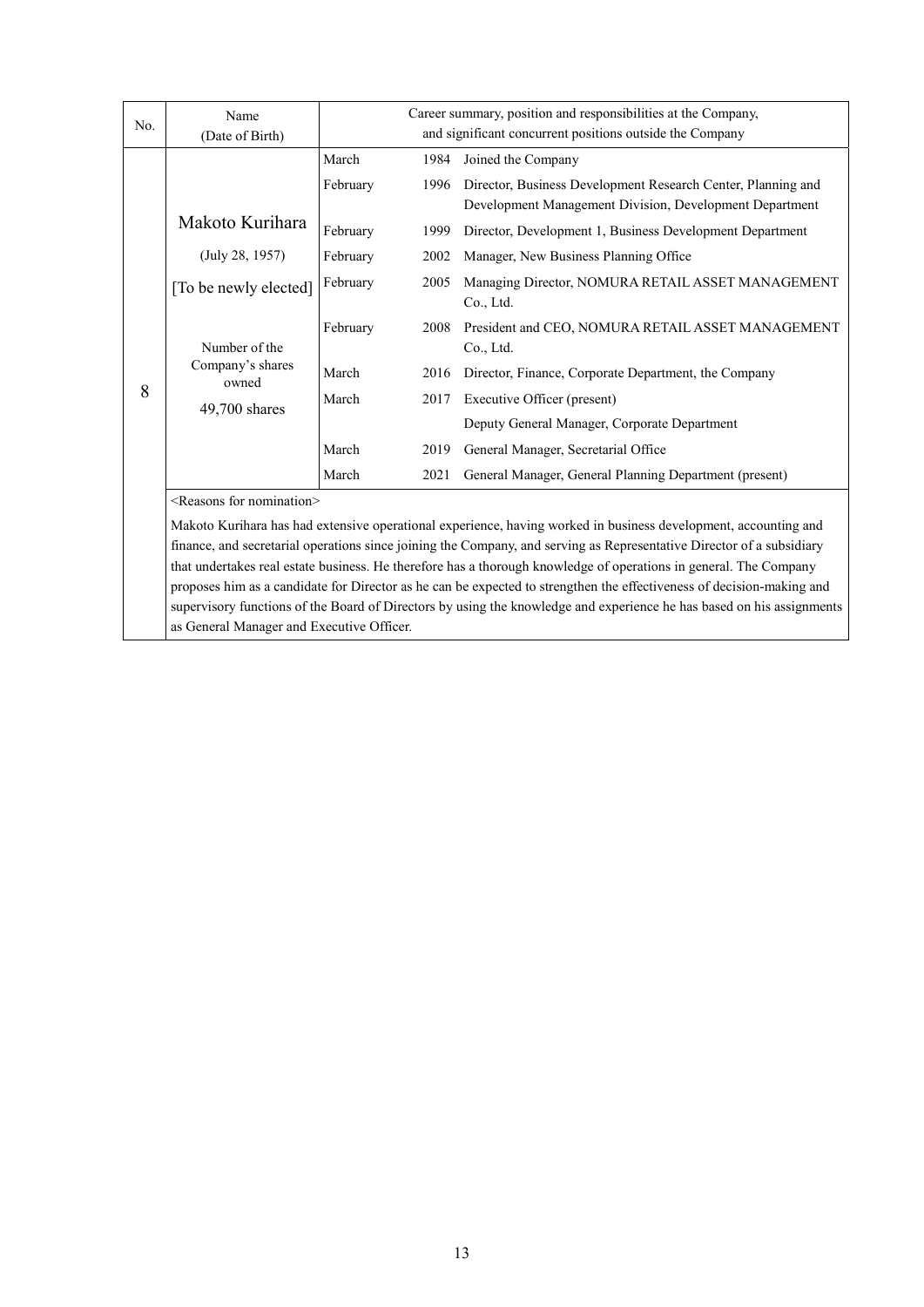|     | Name                                     |          |      | Career summary, position and responsibilities at the Company,  |
|-----|------------------------------------------|----------|------|----------------------------------------------------------------|
| No. | (Date of Birth)                          |          |      | and significant concurrent positions outside the Company       |
|     |                                          | March    | 1984 | Joined the Company                                             |
|     |                                          | February | 1996 | Director, Business Development Research Center, Planning and   |
|     |                                          |          |      | Development Management Division, Development Department        |
|     | Makoto Kurihara                          | February | 1999 | Director, Development 1, Business Development Department       |
|     | (July 28, 1957)                          | February | 2002 | Manager, New Business Planning Office                          |
|     | [To be newly elected]                    | February | 2005 | Managing Director, NOMURA RETAIL ASSET MANAGEMENT<br>Co., Ltd. |
|     | Number of the                            | February | 2008 | President and CEO, NOMURA RETAIL ASSET MANAGEMENT<br>Co., Ltd. |
|     | Company's shares<br>owned                | March    | 2016 | Director, Finance, Corporate Department, the Company           |
| 8   | $49,700$ shares                          | March    | 2017 | Executive Officer (present)                                    |
|     |                                          |          |      | Deputy General Manager, Corporate Department                   |
|     |                                          | March    | 2019 | General Manager, Secretarial Office                            |
|     |                                          | March    | 2021 | General Manager, General Planning Department (present)         |
|     | <reasons for="" nomination=""></reasons> |          |      |                                                                |

Makoto Kurihara has had extensive operational experience, having worked in business development, accounting and finance, and secretarial operations since joining the Company, and serving as Representative Director of a subsidiary that undertakes real estate business. He therefore has a thorough knowledge of operations in general. The Company proposes him as a candidate for Director as he can be expected to strengthen the effectiveness of decision-making and supervisory functions of the Board of Directors by using the knowledge and experience he has based on his assignments as General Manager and Executive Officer.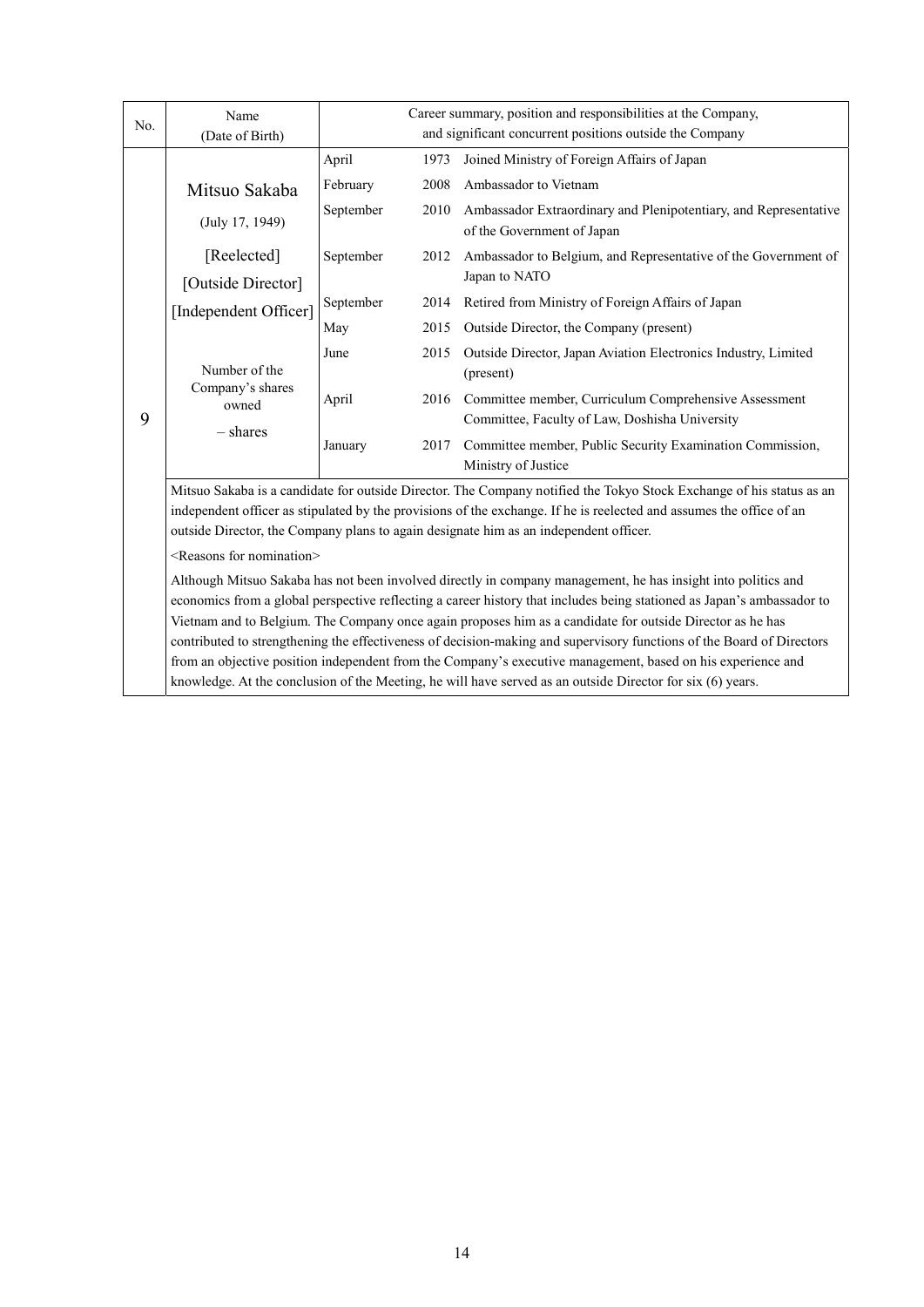|     | Name                                                                                                                                                                                                                               | Career summary, position and responsibilities at the Company, |                                                                                                        |                                                                                  |  |  |  |  |
|-----|------------------------------------------------------------------------------------------------------------------------------------------------------------------------------------------------------------------------------------|---------------------------------------------------------------|--------------------------------------------------------------------------------------------------------|----------------------------------------------------------------------------------|--|--|--|--|
| No. | (Date of Birth)                                                                                                                                                                                                                    | and significant concurrent positions outside the Company      |                                                                                                        |                                                                                  |  |  |  |  |
|     |                                                                                                                                                                                                                                    | April                                                         | 1973                                                                                                   | Joined Ministry of Foreign Affairs of Japan                                      |  |  |  |  |
|     | Mitsuo Sakaba<br>(July 17, 1949)                                                                                                                                                                                                   | February                                                      | 2008                                                                                                   | Ambassador to Vietnam                                                            |  |  |  |  |
|     |                                                                                                                                                                                                                                    | September                                                     | 2010<br>Ambassador Extraordinary and Plenipotentiary, and Representative<br>of the Government of Japan |                                                                                  |  |  |  |  |
|     | [Reelected]                                                                                                                                                                                                                        | September                                                     | 2012                                                                                                   | Ambassador to Belgium, and Representative of the Government of                   |  |  |  |  |
|     | [Outside Director]                                                                                                                                                                                                                 |                                                               |                                                                                                        | Japan to NATO                                                                    |  |  |  |  |
|     | [Independent Officer]                                                                                                                                                                                                              | September                                                     | 2014                                                                                                   | Retired from Ministry of Foreign Affairs of Japan                                |  |  |  |  |
|     |                                                                                                                                                                                                                                    | May                                                           | 2015                                                                                                   | Outside Director, the Company (present)                                          |  |  |  |  |
|     |                                                                                                                                                                                                                                    | June                                                          | 2015                                                                                                   | Outside Director, Japan Aviation Electronics Industry, Limited                   |  |  |  |  |
|     | Number of the<br>Company's shares<br>owned<br>$-$ shares                                                                                                                                                                           |                                                               |                                                                                                        | (present)                                                                        |  |  |  |  |
|     |                                                                                                                                                                                                                                    | April                                                         | 2016                                                                                                   | Committee member, Curriculum Comprehensive Assessment                            |  |  |  |  |
| 9   |                                                                                                                                                                                                                                    |                                                               |                                                                                                        | Committee, Faculty of Law, Doshisha University                                   |  |  |  |  |
|     |                                                                                                                                                                                                                                    | January                                                       | 2017                                                                                                   | Committee member, Public Security Examination Commission,<br>Ministry of Justice |  |  |  |  |
|     | Mitsuo Sakaba is a candidate for outside Director. The Company notified the Tokyo Stock Exchange of his status as an                                                                                                               |                                                               |                                                                                                        |                                                                                  |  |  |  |  |
|     | independent officer as stipulated by the provisions of the exchange. If he is reelected and assumes the office of an                                                                                                               |                                                               |                                                                                                        |                                                                                  |  |  |  |  |
|     | outside Director, the Company plans to again designate him as an independent officer.                                                                                                                                              |                                                               |                                                                                                        |                                                                                  |  |  |  |  |
|     | <reasons for="" nomination=""></reasons>                                                                                                                                                                                           |                                                               |                                                                                                        |                                                                                  |  |  |  |  |
|     | Although Mitsuo Sakaba has not been involved directly in company management, he has insight into politics and                                                                                                                      |                                                               |                                                                                                        |                                                                                  |  |  |  |  |
|     | economics from a global perspective reflecting a career history that includes being stationed as Japan's ambassador to                                                                                                             |                                                               |                                                                                                        |                                                                                  |  |  |  |  |
|     | Vietnam and to Belgium. The Company once again proposes him as a candidate for outside Director as he has<br>contributed to strengthening the effectiveness of decision-making and supervisory functions of the Board of Directors |                                                               |                                                                                                        |                                                                                  |  |  |  |  |
|     | from an objective position independent from the Company's executive management, based on his experience and                                                                                                                        |                                                               |                                                                                                        |                                                                                  |  |  |  |  |

knowledge. At the conclusion of the Meeting, he will have served as an outside Director for six (6) years.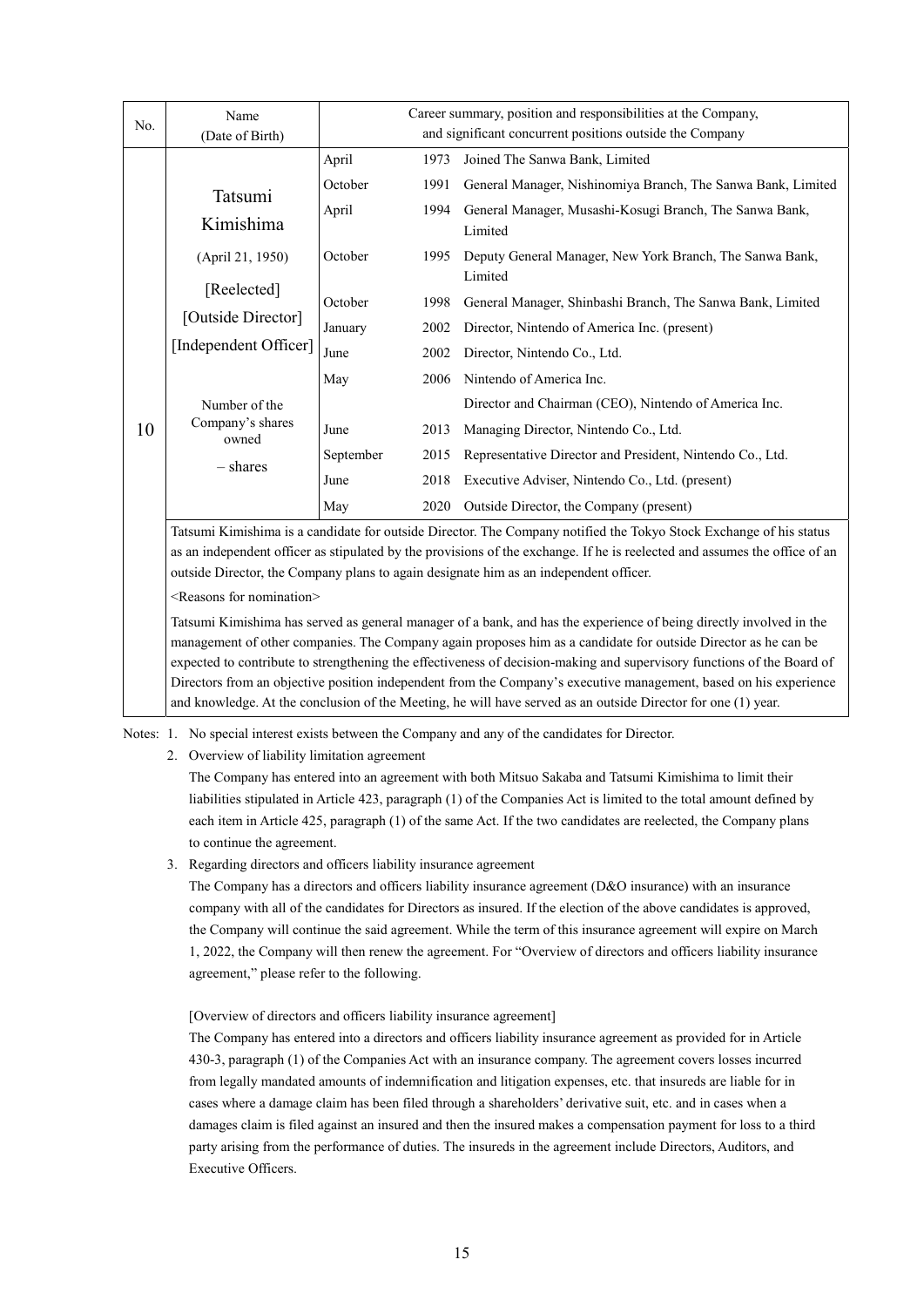| No. | Name                                                   | Career summary, position and responsibilities at the Company,<br>and significant concurrent positions outside the Company |      |                                                              |  |  |
|-----|--------------------------------------------------------|---------------------------------------------------------------------------------------------------------------------------|------|--------------------------------------------------------------|--|--|
|     | (Date of Birth)                                        |                                                                                                                           |      |                                                              |  |  |
|     |                                                        | April                                                                                                                     | 1973 | Joined The Sanwa Bank, Limited                               |  |  |
|     | Tatsumi<br>Kimishima                                   | October                                                                                                                   | 1991 | General Manager, Nishinomiya Branch, The Sanwa Bank, Limited |  |  |
|     |                                                        | April                                                                                                                     | 1994 | General Manager, Musashi-Kosugi Branch, The Sanwa Bank,      |  |  |
|     |                                                        |                                                                                                                           |      | Limited                                                      |  |  |
|     | (April 21, 1950)                                       | October                                                                                                                   | 1995 | Deputy General Manager, New York Branch, The Sanwa Bank,     |  |  |
|     |                                                        |                                                                                                                           |      | Limited                                                      |  |  |
|     | [Reelected]                                            | October                                                                                                                   | 1998 | General Manager, Shinbashi Branch, The Sanwa Bank, Limited   |  |  |
|     | [Outside Director]                                     | January                                                                                                                   | 2002 | Director, Nintendo of America Inc. (present)                 |  |  |
|     | [Independent Officer]                                  | June                                                                                                                      | 2002 | Director, Nintendo Co., Ltd.                                 |  |  |
|     | Number of the<br>Company's shares<br>owned<br>– shares | May                                                                                                                       | 2006 | Nintendo of America Inc.                                     |  |  |
|     |                                                        |                                                                                                                           |      | Director and Chairman (CEO), Nintendo of America Inc.        |  |  |
| 10  |                                                        | June                                                                                                                      | 2013 | Managing Director, Nintendo Co., Ltd.                        |  |  |
|     |                                                        | September                                                                                                                 | 2015 | Representative Director and President, Nintendo Co., Ltd.    |  |  |
|     |                                                        | June                                                                                                                      | 2018 | Executive Adviser, Nintendo Co., Ltd. (present)              |  |  |
|     |                                                        | May                                                                                                                       | 2020 | Outside Director, the Company (present)                      |  |  |

Tatsumi Kimishima is a candidate for outside Director. The Company notified the Tokyo Stock Exchange of his status as an independent officer as stipulated by the provisions of the exchange. If he is reelected and assumes the office of an outside Director, the Company plans to again designate him as an independent officer.

<Reasons for nomination>

Tatsumi Kimishima has served as general manager of a bank, and has the experience of being directly involved in the management of other companies. The Company again proposes him as a candidate for outside Director as he can be expected to contribute to strengthening the effectiveness of decision-making and supervisory functions of the Board of Directors from an objective position independent from the Company's executive management, based on his experience and knowledge. At the conclusion of the Meeting, he will have served as an outside Director for one (1) year.

Notes: 1. No special interest exists between the Company and any of the candidates for Director.

2. Overview of liability limitation agreement

The Company has entered into an agreement with both Mitsuo Sakaba and Tatsumi Kimishima to limit their liabilities stipulated in Article 423, paragraph (1) of the Companies Act is limited to the total amount defined by each item in Article 425, paragraph (1) of the same Act. If the two candidates are reelected, the Company plans to continue the agreement.

3. Regarding directors and officers liability insurance agreement

The Company has a directors and officers liability insurance agreement (D&O insurance) with an insurance company with all of the candidates for Directors as insured. If the election of the above candidates is approved, the Company will continue the said agreement. While the term of this insurance agreement will expire on March 1, 2022, the Company will then renew the agreement. For "Overview of directors and officers liability insurance agreement," please refer to the following.

[Overview of directors and officers liability insurance agreement]

The Company has entered into a directors and officers liability insurance agreement as provided for in Article 430-3, paragraph (1) of the Companies Act with an insurance company. The agreement covers losses incurred from legally mandated amounts of indemnification and litigation expenses, etc. that insureds are liable for in cases where a damage claim has been filed through a shareholders' derivative suit, etc. and in cases when a damages claim is filed against an insured and then the insured makes a compensation payment for loss to a third party arising from the performance of duties. The insureds in the agreement include Directors, Auditors, and Executive Officers.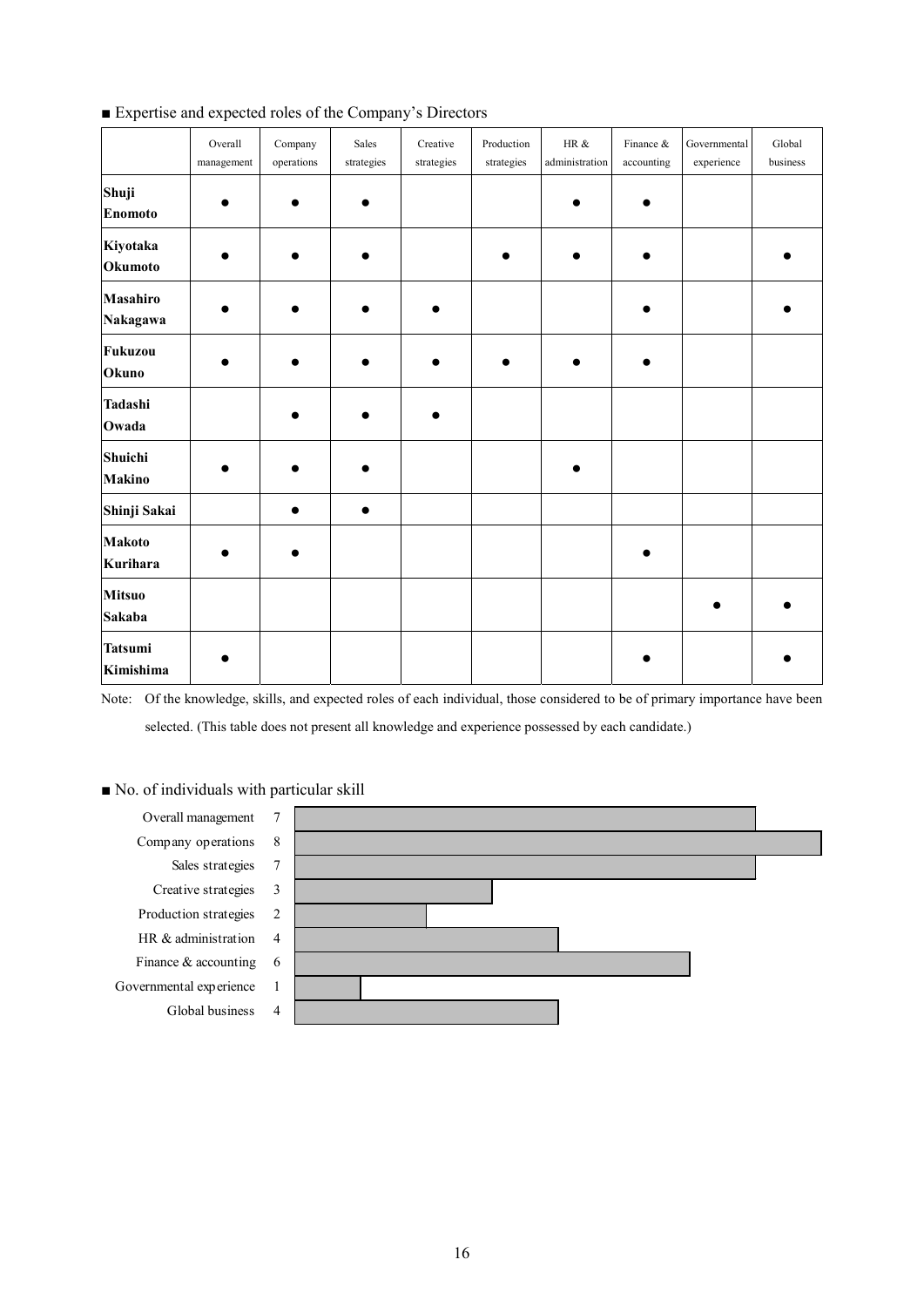|                             | Overall<br>management | Company<br>operations | Sales<br>strategies | Creative<br>strategies | Production<br>strategies | HR $\&$<br>administration | Finance &<br>accounting | Governmental<br>experience | Global<br>business |
|-----------------------------|-----------------------|-----------------------|---------------------|------------------------|--------------------------|---------------------------|-------------------------|----------------------------|--------------------|
| Shuji<br><b>Enomoto</b>     |                       |                       |                     |                        |                          |                           |                         |                            |                    |
| Kiyotaka<br>Okumoto         |                       |                       | ●                   |                        |                          | ●                         |                         |                            |                    |
| Masahiro<br>Nakagawa        |                       |                       |                     |                        |                          |                           |                         |                            |                    |
| Fukuzou<br>Okuno            |                       |                       |                     |                        |                          |                           |                         |                            |                    |
| Tadashi<br>Owada            |                       |                       |                     |                        |                          |                           |                         |                            |                    |
| Shuichi<br><b>Makino</b>    |                       |                       |                     |                        |                          |                           |                         |                            |                    |
| Shinji Sakai                |                       | $\bullet$             | $\bullet$           |                        |                          |                           |                         |                            |                    |
| <b>Makoto</b><br>Kurihara   |                       |                       |                     |                        |                          |                           |                         |                            |                    |
| <b>Mitsuo</b><br>Sakaba     |                       |                       |                     |                        |                          |                           |                         |                            |                    |
| <b>Tatsumi</b><br>Kimishima |                       |                       |                     |                        |                          |                           |                         |                            |                    |

■ Expertise and expected roles of the Company's Directors

Note: Of the knowledge, skills, and expected roles of each individual, those considered to be of primary importance have been selected. (This table does not present all knowledge and experience possessed by each candidate.)

## ■ No. of individuals with particular skill

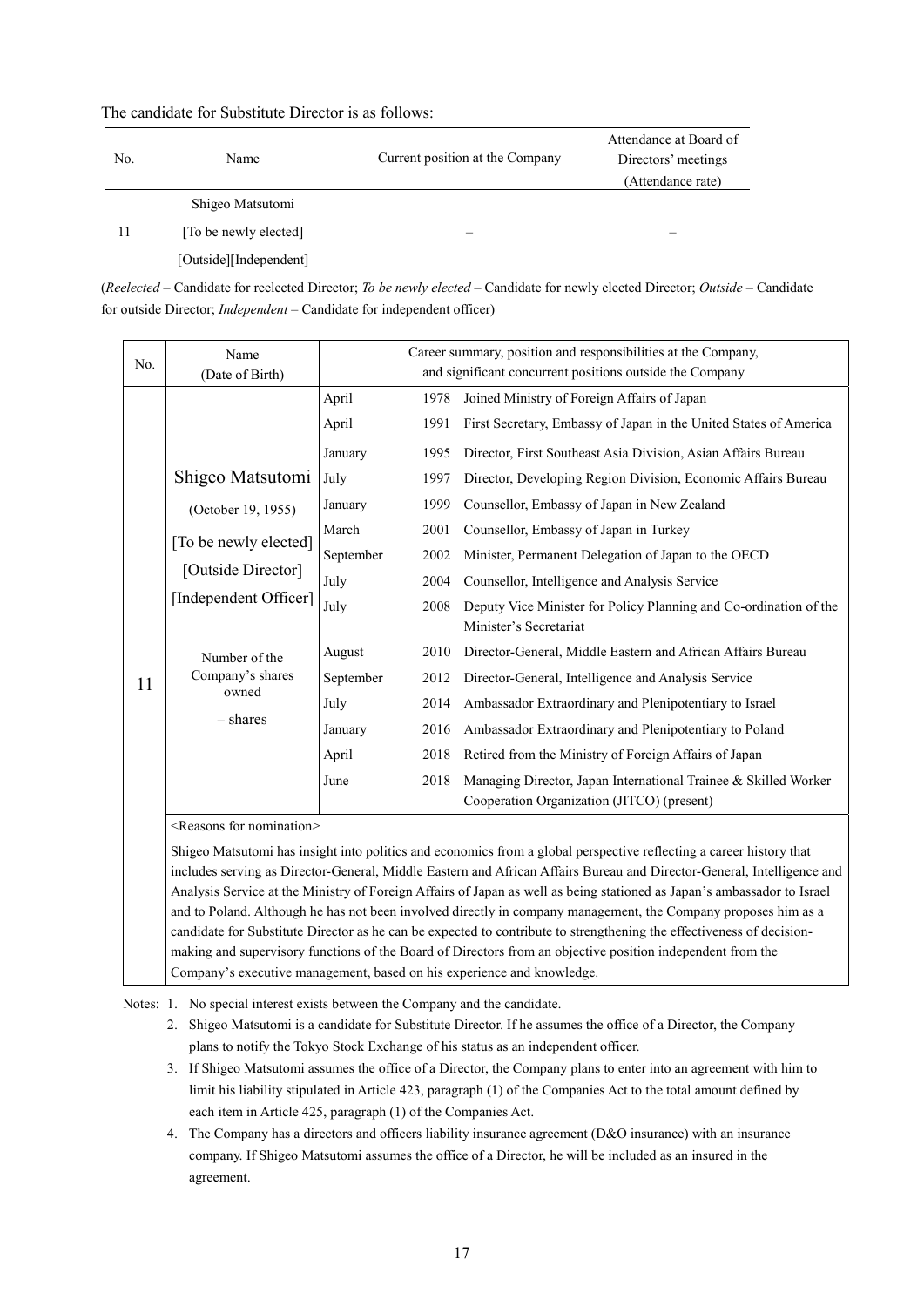| No. | Name                   | Current position at the Company | Attendance at Board of<br>Directors' meetings<br>(Attendance rate) |
|-----|------------------------|---------------------------------|--------------------------------------------------------------------|
|     | Shigeo Matsutomi       |                                 |                                                                    |
| 11  | [To be newly elected]  |                                 |                                                                    |
|     | [Outside][Independent] |                                 |                                                                    |

The candidate for Substitute Director is as follows:

(*Reelected* – Candidate for reelected Director; *To be newly elected* – Candidate for newly elected Director; *Outside* – Candidate for outside Director; *Independent* – Candidate for independent officer)

| No. | Name<br>(Date of Birth)                                                                                                                                                  | Career summary, position and responsibilities at the Company,<br>and significant concurrent positions outside the Company |      |                                                                                             |  |
|-----|--------------------------------------------------------------------------------------------------------------------------------------------------------------------------|---------------------------------------------------------------------------------------------------------------------------|------|---------------------------------------------------------------------------------------------|--|
|     |                                                                                                                                                                          | April                                                                                                                     | 1978 | Joined Ministry of Foreign Affairs of Japan                                                 |  |
|     |                                                                                                                                                                          | April                                                                                                                     | 1991 | First Secretary, Embassy of Japan in the United States of America                           |  |
|     |                                                                                                                                                                          | January                                                                                                                   | 1995 | Director, First Southeast Asia Division, Asian Affairs Bureau                               |  |
|     | Shigeo Matsutomi<br>(October 19, 1955)<br>[To be newly elected]<br>[Outside Director]<br>[Independent Officer]<br>Number of the<br>Company's shares<br>owned<br>- shares | July                                                                                                                      | 1997 | Director, Developing Region Division, Economic Affairs Bureau                               |  |
|     |                                                                                                                                                                          | January                                                                                                                   | 1999 | Counsellor, Embassy of Japan in New Zealand                                                 |  |
|     |                                                                                                                                                                          | March                                                                                                                     | 2001 | Counsellor, Embassy of Japan in Turkey                                                      |  |
|     |                                                                                                                                                                          | September                                                                                                                 | 2002 | Minister, Permanent Delegation of Japan to the OECD                                         |  |
|     |                                                                                                                                                                          | July                                                                                                                      | 2004 | Counsellor, Intelligence and Analysis Service                                               |  |
|     |                                                                                                                                                                          | July                                                                                                                      | 2008 | Deputy Vice Minister for Policy Planning and Co-ordination of the<br>Minister's Secretariat |  |
|     |                                                                                                                                                                          | August                                                                                                                    | 2010 | Director-General, Middle Eastern and African Affairs Bureau                                 |  |
| 11  |                                                                                                                                                                          | September                                                                                                                 | 2012 | Director-General, Intelligence and Analysis Service                                         |  |
|     |                                                                                                                                                                          | July                                                                                                                      | 2014 | Ambassador Extraordinary and Plenipotentiary to Israel                                      |  |
|     |                                                                                                                                                                          | January                                                                                                                   | 2016 | Ambassador Extraordinary and Plenipotentiary to Poland                                      |  |
|     |                                                                                                                                                                          | April                                                                                                                     | 2018 | Retired from the Ministry of Foreign Affairs of Japan                                       |  |
|     |                                                                                                                                                                          | June                                                                                                                      | 2018 | Managing Director, Japan International Trainee & Skilled Worker                             |  |
|     |                                                                                                                                                                          |                                                                                                                           |      | Cooperation Organization (JITCO) (present)                                                  |  |

<Reasons for nomination>

Shigeo Matsutomi has insight into politics and economics from a global perspective reflecting a career history that includes serving as Director-General, Middle Eastern and African Affairs Bureau and Director-General, Intelligence and Analysis Service at the Ministry of Foreign Affairs of Japan as well as being stationed as Japan's ambassador to Israel and to Poland. Although he has not been involved directly in company management, the Company proposes him as a candidate for Substitute Director as he can be expected to contribute to strengthening the effectiveness of decisionmaking and supervisory functions of the Board of Directors from an objective position independent from the Company's executive management, based on his experience and knowledge.

Notes: 1. No special interest exists between the Company and the candidate.

2. Shigeo Matsutomi is a candidate for Substitute Director. If he assumes the office of a Director, the Company plans to notify the Tokyo Stock Exchange of his status as an independent officer.

- 3. If Shigeo Matsutomi assumes the office of a Director, the Company plans to enter into an agreement with him to limit his liability stipulated in Article 423, paragraph (1) of the Companies Act to the total amount defined by each item in Article 425, paragraph (1) of the Companies Act.
- 4. The Company has a directors and officers liability insurance agreement (D&O insurance) with an insurance company. If Shigeo Matsutomi assumes the office of a Director, he will be included as an insured in the agreement.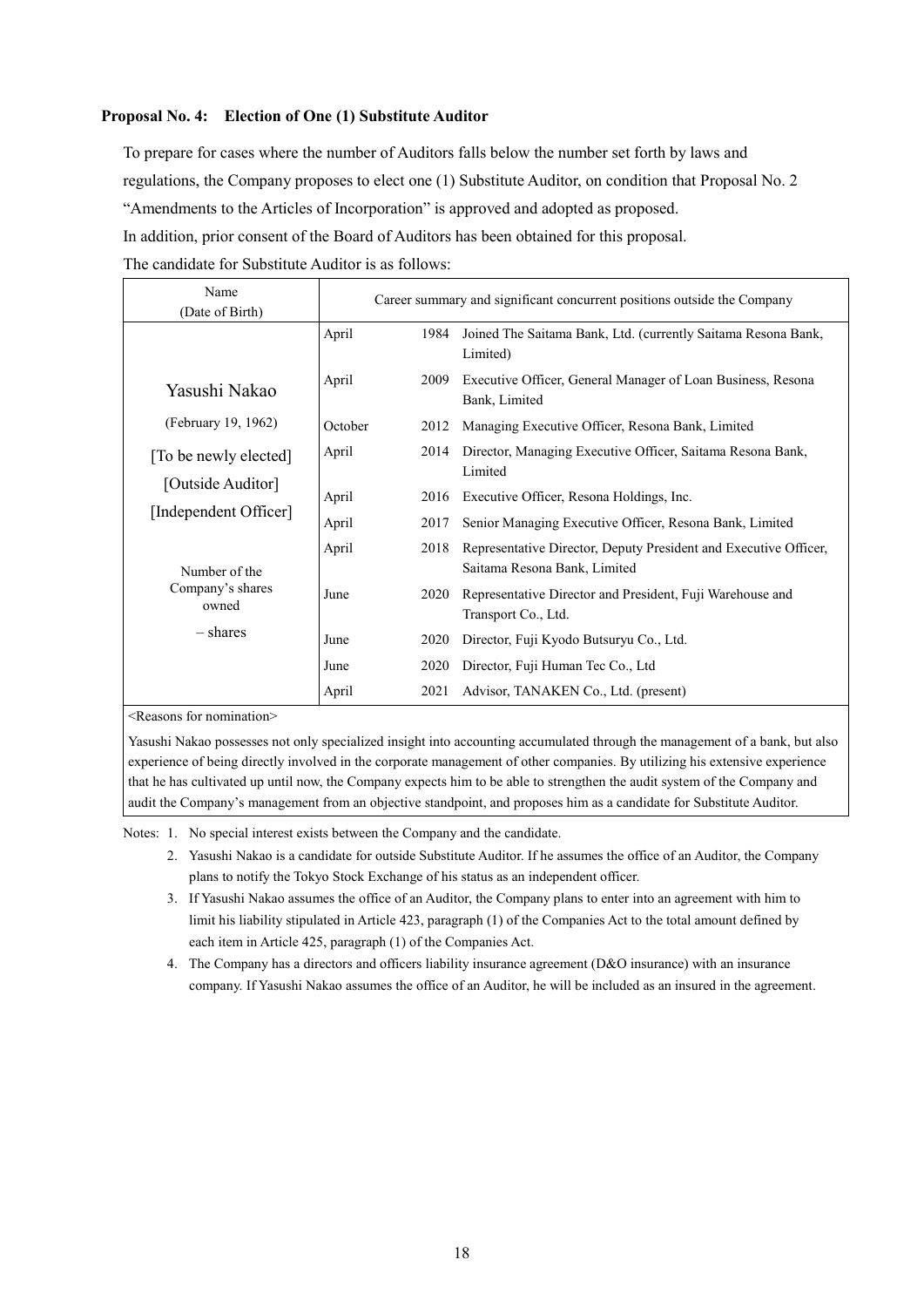## **Proposal No. 4: Election of One (1) Substitute Auditor**

To prepare for cases where the number of Auditors falls below the number set forth by laws and regulations, the Company proposes to elect one (1) Substitute Auditor, on condition that Proposal No. 2 "Amendments to the Articles of Incorporation" is approved and adopted as proposed. In addition, prior consent of the Board of Auditors has been obtained for this proposal.

The candidate for Substitute Auditor is as follows:

| Name                      | Career summary and significant concurrent positions outside the Company |      |                                                                                                  |  |  |  |
|---------------------------|-------------------------------------------------------------------------|------|--------------------------------------------------------------------------------------------------|--|--|--|
| (Date of Birth)           |                                                                         |      |                                                                                                  |  |  |  |
|                           | April                                                                   | 1984 | Joined The Saitama Bank, Ltd. (currently Saitama Resona Bank,<br>Limited)                        |  |  |  |
| Yasushi Nakao             | April                                                                   | 2009 | Executive Officer, General Manager of Loan Business, Resona<br>Bank, Limited                     |  |  |  |
| (February 19, 1962)       | October                                                                 | 2012 | Managing Executive Officer, Resona Bank, Limited                                                 |  |  |  |
| [To be newly elected]     | April                                                                   | 2014 | Director, Managing Executive Officer, Saitama Resona Bank,<br>Limited                            |  |  |  |
| [Outside Auditor]         | April                                                                   | 2016 | Executive Officer, Resona Holdings, Inc.                                                         |  |  |  |
| [Independent Officer]     | April                                                                   | 2017 | Senior Managing Executive Officer, Resona Bank, Limited                                          |  |  |  |
| Number of the             | April                                                                   | 2018 | Representative Director, Deputy President and Executive Officer,<br>Saitama Resona Bank, Limited |  |  |  |
| Company's shares<br>owned | June                                                                    | 2020 | Representative Director and President, Fuji Warehouse and<br>Transport Co., Ltd.                 |  |  |  |
| – shares                  | June                                                                    | 2020 | Director, Fuji Kyodo Butsuryu Co., Ltd.                                                          |  |  |  |
|                           | June                                                                    | 2020 | Director, Fuji Human Tec Co., Ltd                                                                |  |  |  |
|                           | April                                                                   | 2021 | Advisor, TANAKEN Co., Ltd. (present)                                                             |  |  |  |

<Reasons for nomination>

Yasushi Nakao possesses not only specialized insight into accounting accumulated through the management of a bank, but also experience of being directly involved in the corporate management of other companies. By utilizing his extensive experience that he has cultivated up until now, the Company expects him to be able to strengthen the audit system of the Company and audit the Company's management from an objective standpoint, and proposes him as a candidate for Substitute Auditor.

Notes: 1. No special interest exists between the Company and the candidate.

- 2. Yasushi Nakao is a candidate for outside Substitute Auditor. If he assumes the office of an Auditor, the Company plans to notify the Tokyo Stock Exchange of his status as an independent officer.
- 3. If Yasushi Nakao assumes the office of an Auditor, the Company plans to enter into an agreement with him to limit his liability stipulated in Article 423, paragraph (1) of the Companies Act to the total amount defined by each item in Article 425, paragraph (1) of the Companies Act.
- 4. The Company has a directors and officers liability insurance agreement (D&O insurance) with an insurance company. If Yasushi Nakao assumes the office of an Auditor, he will be included as an insured in the agreement.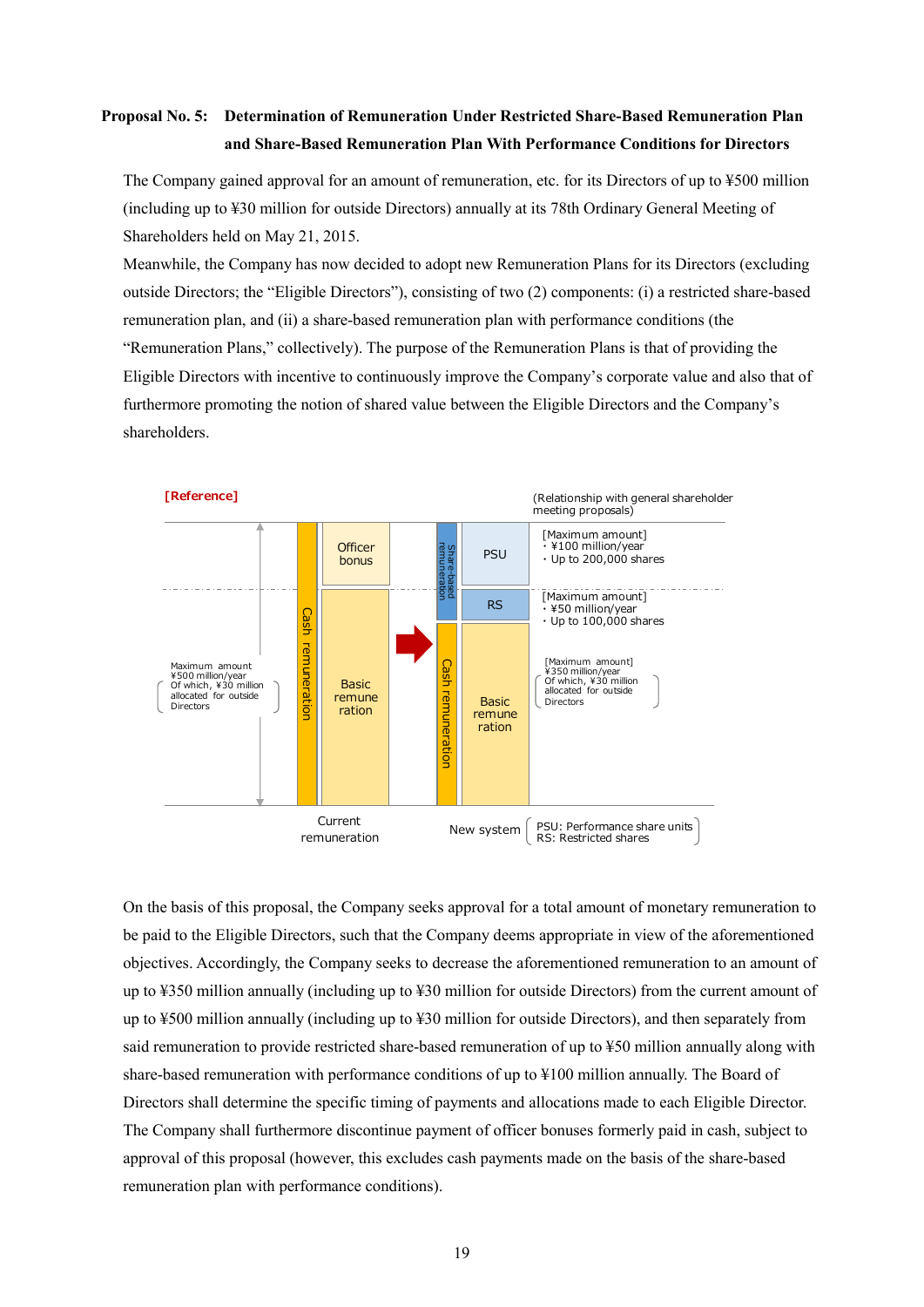# **Proposal No. 5: Determination of Remuneration Under Restricted Share-Based Remuneration Plan and Share-Based Remuneration Plan With Performance Conditions for Directors**

The Company gained approval for an amount of remuneration, etc. for its Directors of up to ¥500 million (including up to ¥30 million for outside Directors) annually at its 78th Ordinary General Meeting of Shareholders held on May 21, 2015.

Meanwhile, the Company has now decided to adopt new Remuneration Plans for its Directors (excluding outside Directors; the "Eligible Directors"), consisting of two (2) components: (i) a restricted share-based remuneration plan, and (ii) a share-based remuneration plan with performance conditions (the "Remuneration Plans," collectively). The purpose of the Remuneration Plans is that of providing the Eligible Directors with incentive to continuously improve the Company's corporate value and also that of furthermore promoting the notion of shared value between the Eligible Directors and the Company's shareholders.



On the basis of this proposal, the Company seeks approval for a total amount of monetary remuneration to be paid to the Eligible Directors, such that the Company deems appropriate in view of the aforementioned objectives. Accordingly, the Company seeks to decrease the aforementioned remuneration to an amount of up to ¥350 million annually (including up to ¥30 million for outside Directors) from the current amount of up to ¥500 million annually (including up to ¥30 million for outside Directors), and then separately from said remuneration to provide restricted share-based remuneration of up to ¥50 million annually along with share-based remuneration with performance conditions of up to ¥100 million annually. The Board of Directors shall determine the specific timing of payments and allocations made to each Eligible Director. The Company shall furthermore discontinue payment of officer bonuses formerly paid in cash, subject to approval of this proposal (however, this excludes cash payments made on the basis of the share-based remuneration plan with performance conditions).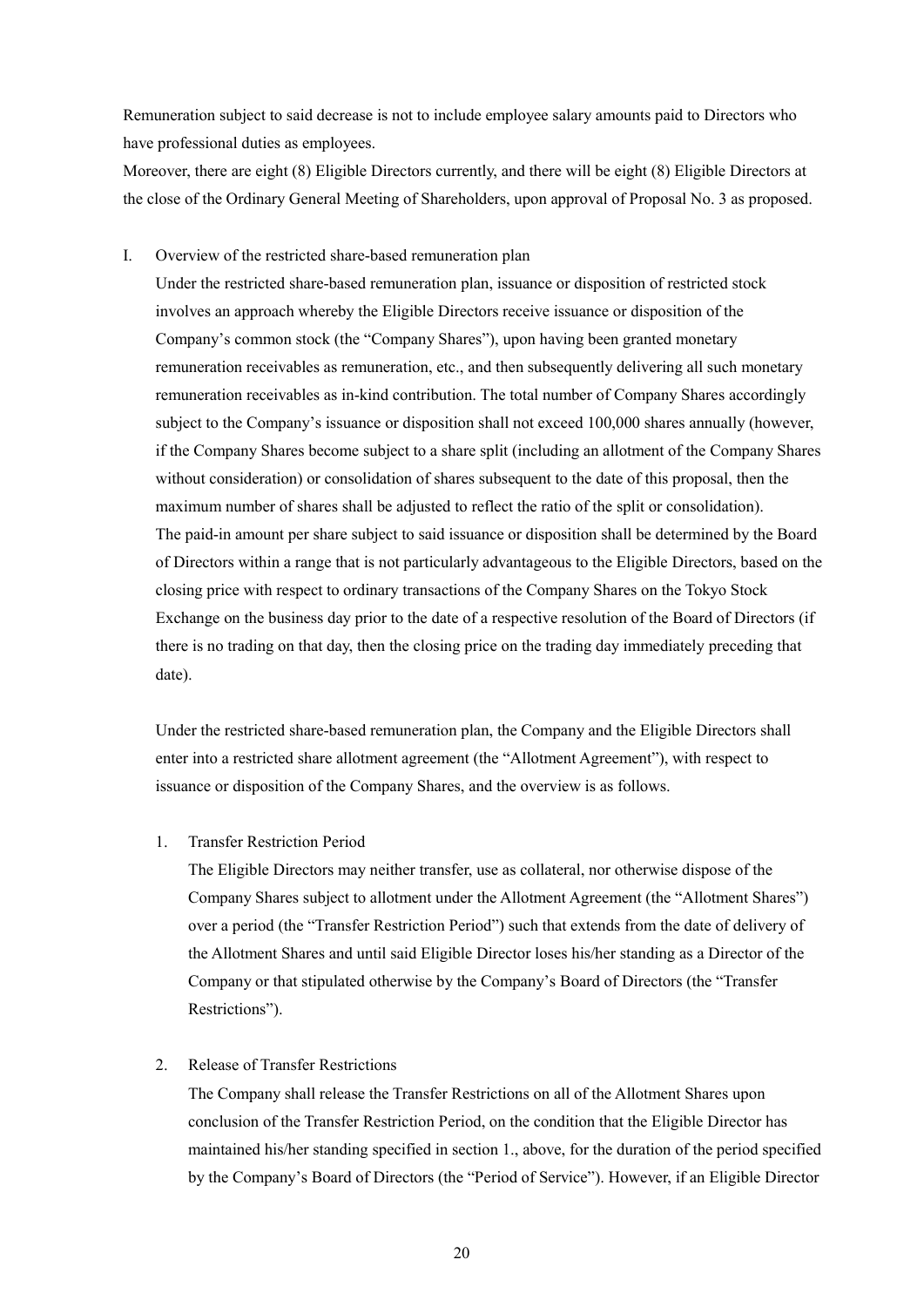Remuneration subject to said decrease is not to include employee salary amounts paid to Directors who have professional duties as employees.

Moreover, there are eight (8) Eligible Directors currently, and there will be eight (8) Eligible Directors at the close of the Ordinary General Meeting of Shareholders, upon approval of Proposal No. 3 as proposed.

## I. Overview of the restricted share-based remuneration plan

Under the restricted share-based remuneration plan, issuance or disposition of restricted stock involves an approach whereby the Eligible Directors receive issuance or disposition of the Company's common stock (the "Company Shares"), upon having been granted monetary remuneration receivables as remuneration, etc., and then subsequently delivering all such monetary remuneration receivables as in-kind contribution. The total number of Company Shares accordingly subject to the Company's issuance or disposition shall not exceed 100,000 shares annually (however, if the Company Shares become subject to a share split (including an allotment of the Company Shares without consideration) or consolidation of shares subsequent to the date of this proposal, then the maximum number of shares shall be adjusted to reflect the ratio of the split or consolidation). The paid-in amount per share subject to said issuance or disposition shall be determined by the Board of Directors within a range that is not particularly advantageous to the Eligible Directors, based on the closing price with respect to ordinary transactions of the Company Shares on the Tokyo Stock Exchange on the business day prior to the date of a respective resolution of the Board of Directors (if there is no trading on that day, then the closing price on the trading day immediately preceding that date).

Under the restricted share-based remuneration plan, the Company and the Eligible Directors shall enter into a restricted share allotment agreement (the "Allotment Agreement"), with respect to issuance or disposition of the Company Shares, and the overview is as follows.

### 1. Transfer Restriction Period

The Eligible Directors may neither transfer, use as collateral, nor otherwise dispose of the Company Shares subject to allotment under the Allotment Agreement (the "Allotment Shares") over a period (the "Transfer Restriction Period") such that extends from the date of delivery of the Allotment Shares and until said Eligible Director loses his/her standing as a Director of the Company or that stipulated otherwise by the Company's Board of Directors (the "Transfer Restrictions").

## 2. Release of Transfer Restrictions

The Company shall release the Transfer Restrictions on all of the Allotment Shares upon conclusion of the Transfer Restriction Period, on the condition that the Eligible Director has maintained his/her standing specified in section 1., above, for the duration of the period specified by the Company's Board of Directors (the "Period of Service"). However, if an Eligible Director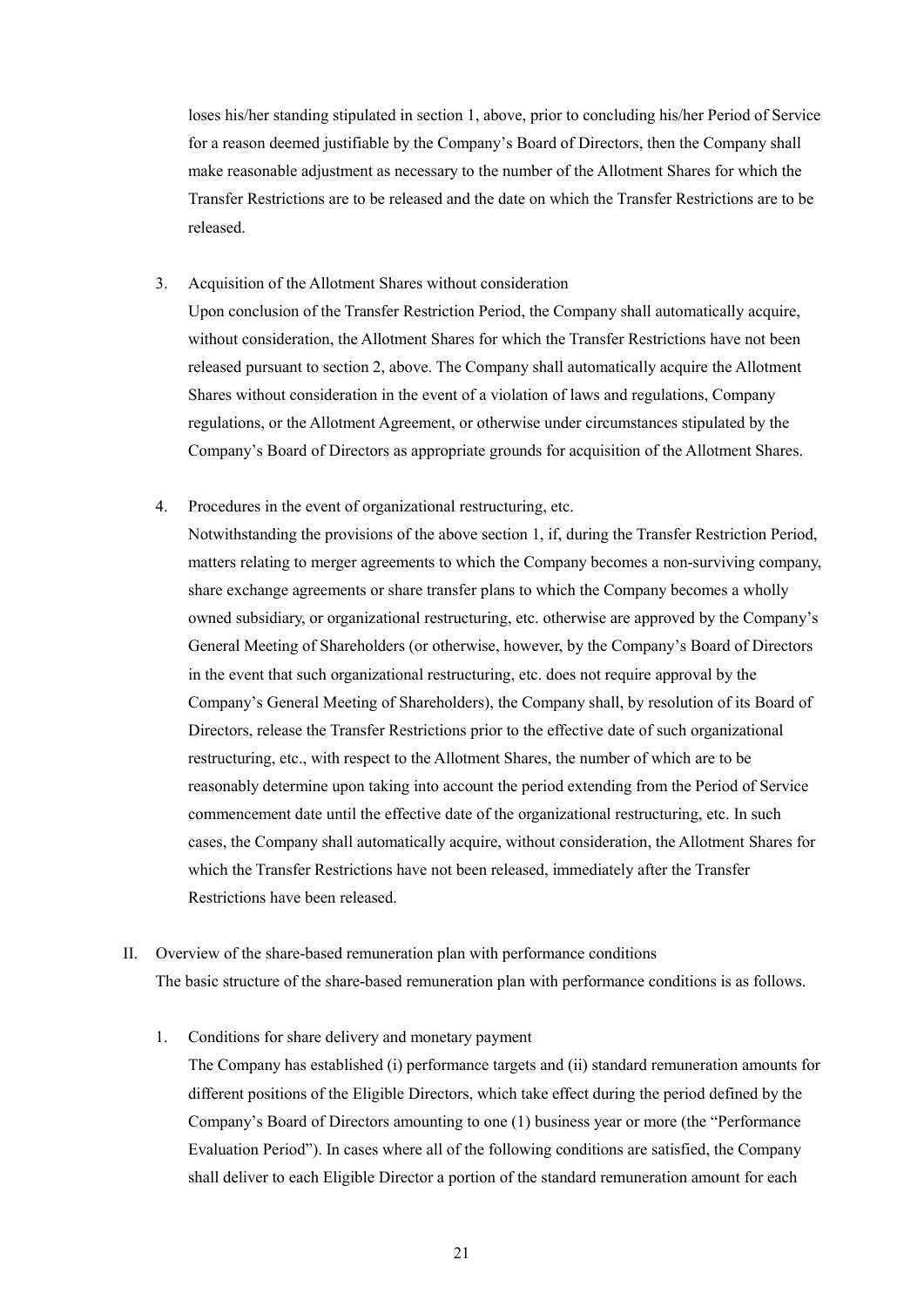loses his/her standing stipulated in section 1, above, prior to concluding his/her Period of Service for a reason deemed justifiable by the Company's Board of Directors, then the Company shall make reasonable adjustment as necessary to the number of the Allotment Shares for which the Transfer Restrictions are to be released and the date on which the Transfer Restrictions are to be released.

3. Acquisition of the Allotment Shares without consideration

Upon conclusion of the Transfer Restriction Period, the Company shall automatically acquire, without consideration, the Allotment Shares for which the Transfer Restrictions have not been released pursuant to section 2, above. The Company shall automatically acquire the Allotment Shares without consideration in the event of a violation of laws and regulations, Company regulations, or the Allotment Agreement, or otherwise under circumstances stipulated by the Company's Board of Directors as appropriate grounds for acquisition of the Allotment Shares.

4. Procedures in the event of organizational restructuring, etc.

Notwithstanding the provisions of the above section 1, if, during the Transfer Restriction Period, matters relating to merger agreements to which the Company becomes a non-surviving company, share exchange agreements or share transfer plans to which the Company becomes a wholly owned subsidiary, or organizational restructuring, etc. otherwise are approved by the Company's General Meeting of Shareholders (or otherwise, however, by the Company's Board of Directors in the event that such organizational restructuring, etc. does not require approval by the Company's General Meeting of Shareholders), the Company shall, by resolution of its Board of Directors, release the Transfer Restrictions prior to the effective date of such organizational restructuring, etc., with respect to the Allotment Shares, the number of which are to be reasonably determine upon taking into account the period extending from the Period of Service commencement date until the effective date of the organizational restructuring, etc. In such cases, the Company shall automatically acquire, without consideration, the Allotment Shares for which the Transfer Restrictions have not been released, immediately after the Transfer Restrictions have been released.

- II. Overview of the share-based remuneration plan with performance conditions The basic structure of the share-based remuneration plan with performance conditions is as follows.
	- 1. Conditions for share delivery and monetary payment

The Company has established (i) performance targets and (ii) standard remuneration amounts for different positions of the Eligible Directors, which take effect during the period defined by the Company's Board of Directors amounting to one (1) business year or more (the "Performance Evaluation Period"). In cases where all of the following conditions are satisfied, the Company shall deliver to each Eligible Director a portion of the standard remuneration amount for each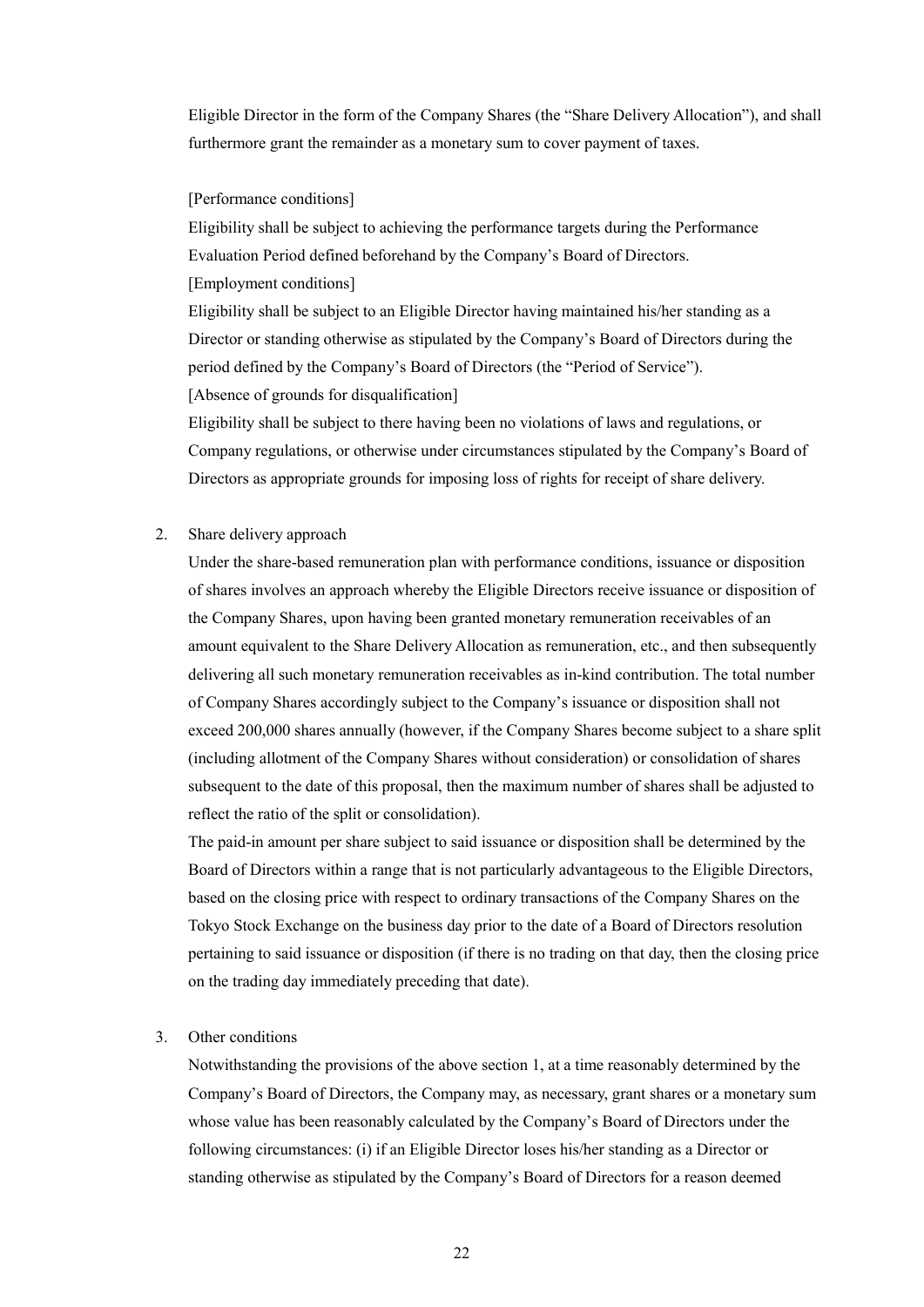Eligible Director in the form of the Company Shares (the "Share Delivery Allocation"), and shall furthermore grant the remainder as a monetary sum to cover payment of taxes.

#### [Performance conditions]

Eligibility shall be subject to achieving the performance targets during the Performance Evaluation Period defined beforehand by the Company's Board of Directors. [Employment conditions]

Eligibility shall be subject to an Eligible Director having maintained his/her standing as a Director or standing otherwise as stipulated by the Company's Board of Directors during the period defined by the Company's Board of Directors (the "Period of Service").

[Absence of grounds for disqualification]

Eligibility shall be subject to there having been no violations of laws and regulations, or Company regulations, or otherwise under circumstances stipulated by the Company's Board of Directors as appropriate grounds for imposing loss of rights for receipt of share delivery.

2. Share delivery approach

Under the share-based remuneration plan with performance conditions, issuance or disposition of shares involves an approach whereby the Eligible Directors receive issuance or disposition of the Company Shares, upon having been granted monetary remuneration receivables of an amount equivalent to the Share Delivery Allocation as remuneration, etc., and then subsequently delivering all such monetary remuneration receivables as in-kind contribution. The total number of Company Shares accordingly subject to the Company's issuance or disposition shall not exceed 200,000 shares annually (however, if the Company Shares become subject to a share split (including allotment of the Company Shares without consideration) or consolidation of shares subsequent to the date of this proposal, then the maximum number of shares shall be adjusted to reflect the ratio of the split or consolidation).

The paid-in amount per share subject to said issuance or disposition shall be determined by the Board of Directors within a range that is not particularly advantageous to the Eligible Directors, based on the closing price with respect to ordinary transactions of the Company Shares on the Tokyo Stock Exchange on the business day prior to the date of a Board of Directors resolution pertaining to said issuance or disposition (if there is no trading on that day, then the closing price on the trading day immediately preceding that date).

#### 3. Other conditions

Notwithstanding the provisions of the above section 1, at a time reasonably determined by the Company's Board of Directors, the Company may, as necessary, grant shares or a monetary sum whose value has been reasonably calculated by the Company's Board of Directors under the following circumstances: (i) if an Eligible Director loses his/her standing as a Director or standing otherwise as stipulated by the Company's Board of Directors for a reason deemed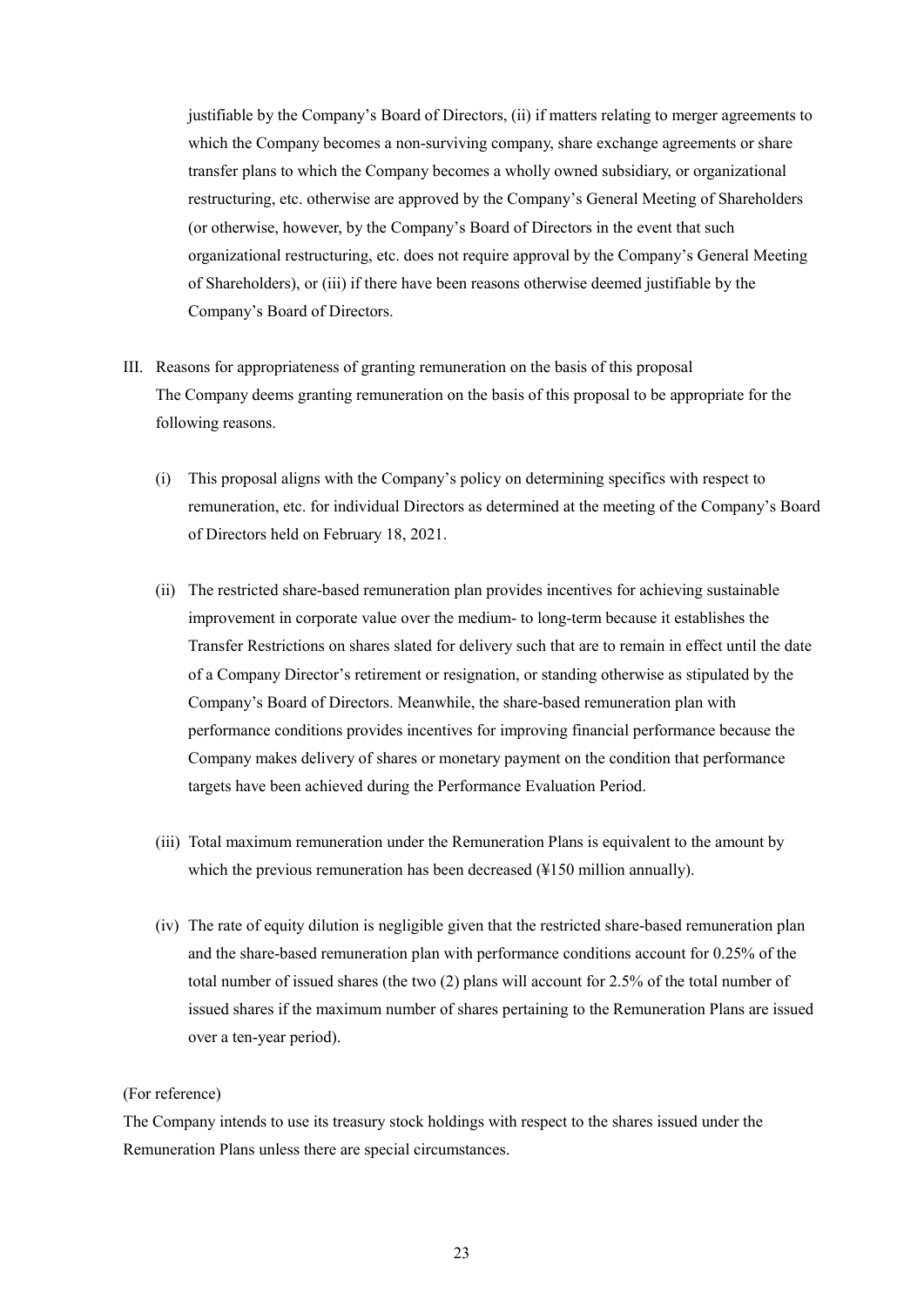justifiable by the Company's Board of Directors, (ii) if matters relating to merger agreements to which the Company becomes a non-surviving company, share exchange agreements or share transfer plans to which the Company becomes a wholly owned subsidiary, or organizational restructuring, etc. otherwise are approved by the Company's General Meeting of Shareholders (or otherwise, however, by the Company's Board of Directors in the event that such organizational restructuring, etc. does not require approval by the Company's General Meeting of Shareholders), or (iii) if there have been reasons otherwise deemed justifiable by the Company's Board of Directors.

- III. Reasons for appropriateness of granting remuneration on the basis of this proposal The Company deems granting remuneration on the basis of this proposal to be appropriate for the following reasons.
	- (i) This proposal aligns with the Company's policy on determining specifics with respect to remuneration, etc. for individual Directors as determined at the meeting of the Company's Board of Directors held on February 18, 2021.
	- (ii) The restricted share-based remuneration plan provides incentives for achieving sustainable improvement in corporate value over the medium- to long-term because it establishes the Transfer Restrictions on shares slated for delivery such that are to remain in effect until the date of a Company Director's retirement or resignation, or standing otherwise as stipulated by the Company's Board of Directors. Meanwhile, the share-based remuneration plan with performance conditions provides incentives for improving financial performance because the Company makes delivery of shares or monetary payment on the condition that performance targets have been achieved during the Performance Evaluation Period.
	- (iii) Total maximum remuneration under the Remuneration Plans is equivalent to the amount by which the previous remuneration has been decreased (¥150 million annually).
	- (iv) The rate of equity dilution is negligible given that the restricted share-based remuneration plan and the share-based remuneration plan with performance conditions account for 0.25% of the total number of issued shares (the two (2) plans will account for 2.5% of the total number of issued shares if the maximum number of shares pertaining to the Remuneration Plans are issued over a ten-year period).

#### (For reference)

The Company intends to use its treasury stock holdings with respect to the shares issued under the Remuneration Plans unless there are special circumstances.